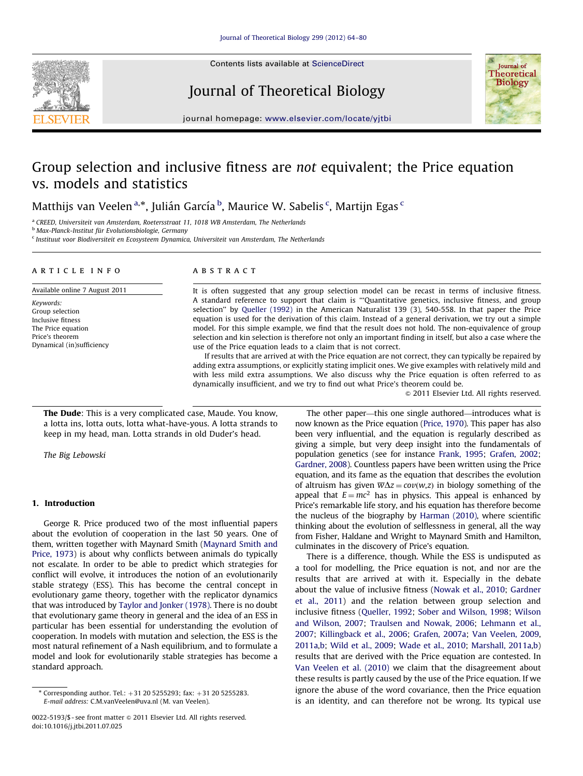

Journal of Theoretical Biology



journal homepage: <www.elsevier.com/locate/yjtbi>

# Group selection and inclusive fitness are not equivalent; the Price equation vs. models and statistics

Matthijs van Veelen<sup>a,</sup>\*, Julián García <sup>b</sup>, Maurice W. Sabelis <sup>c</sup>, Martijn Egas <sup>c</sup>

<sup>a</sup> CREED, Universiteit van Amsterdam, Roetersstraat 11, 1018 WB Amsterdam, The Netherlands

b Max-Planck-Institut für Evolutionsbiologie, Germany

 $c$  Instituut voor Biodiversiteit en Ecosysteem Dynamica, Universiteit van Amsterdam, The Netherlands

#### article info

## Available online 7 August 2011 Keywords: Group selection Inclusive fitness The Price equation Price's theorem Dynamical (in)sufficiency

## **ABSTRACT**

It is often suggested that any group selection model can be recast in terms of inclusive fitness. A standard reference to support that claim is '''Quantitative genetics, inclusive fitness, and group selection'' by [Queller \(1992\)](#page-16-0) in the American Naturalist 139 (3), 540-558. In that paper the Price equation is used for the derivation of this claim. Instead of a general derivation, we try out a simple model. For this simple example, we find that the result does not hold. The non-equivalence of group selection and kin selection is therefore not only an important finding in itself, but also a case where the use of the Price equation leads to a claim that is not correct.

If results that are arrived at with the Price equation are not correct, they can typically be repaired by adding extra assumptions, or explicitly stating implicit ones. We give examples with relatively mild and with less mild extra assumptions. We also discuss why the Price equation is often referred to as dynamically insufficient, and we try to find out what Price's theorem could be.

 $\odot$  2011 Elsevier Ltd. All rights reserved.

The Dude: This is a very complicated case, Maude. You know, a lotta ins, lotta outs, lotta what-have-yous. A lotta strands to keep in my head, man. Lotta strands in old Duder's head.

The Big Lebowski

## 1. Introduction

George R. Price produced two of the most influential papers about the evolution of cooperation in the last 50 years. One of them, written together with Maynard Smith ([Maynard Smith and](#page-16-0) [Price, 1973](#page-16-0)) is about why conflicts between animals do typically not escalate. In order to be able to predict which strategies for conflict will evolve, it introduces the notion of an evolutionarily stable strategy (ESS). This has become the central concept in evolutionary game theory, together with the replicator dynamics that was introduced by [Taylor and Jonker \(1978\)](#page-16-0). There is no doubt that evolutionary game theory in general and the idea of an ESS in particular has been essential for understanding the evolution of cooperation. In models with mutation and selection, the ESS is the most natural refinement of a Nash equilibrium, and to formulate a model and look for evolutionarily stable strategies has become a standard approach.

The other paper—this one single authored—introduces what is now known as the Price equation ([Price, 1970\)](#page-16-0). This paper has also been very influential, and the equation is regularly described as giving a simple, but very deep insight into the fundamentals of population genetics (see for instance [Frank, 1995;](#page-16-0) [Grafen, 2002;](#page-16-0) [Gardner, 2008\)](#page-16-0). Countless papers have been written using the Price equation, and its fame as the equation that describes the evolution of altruism has given  $\overline{w}\Delta z = cov(w,z)$  in biology something of the appeal that  $E = mc^2$  has in physics. This appeal is enhanced by Price's remarkable life story, and his equation has therefore become the nucleus of the biography by [Harman \(2010\)](#page-16-0), where scientific thinking about the evolution of selflessness in general, all the way from Fisher, Haldane and Wright to Maynard Smith and Hamilton, culminates in the discovery of Price's equation.

There is a difference, though. While the ESS is undisputed as a tool for modelling, the Price equation is not, and nor are the results that are arrived at with it. Especially in the debate about the value of inclusive fitness [\(Nowak et al., 2010;](#page-16-0) [Gardner](#page-16-0) [et al., 2011](#page-16-0)) and the relation between group selection and inclusive fitness [\(Queller, 1992](#page-16-0); [Sober and Wilson, 1998;](#page-16-0) [Wilson](#page-16-0) [and Wilson, 2007;](#page-16-0) [Traulsen and Nowak, 2006;](#page-16-0) [Lehmann et al.,](#page-16-0) [2007;](#page-16-0) [Killingback et al., 2006](#page-16-0); [Grafen, 2007a](#page-16-0); [Van Veelen, 2009,](#page-16-0) [2011a](#page-16-0),[b;](#page-16-0) [Wild et al., 2009;](#page-16-0) [Wade et al., 2010;](#page-16-0) [Marshall, 2011a,b\)](#page-16-0) results that are derived with the Price equation are contested. In [Van Veelen et al. \(2010\)](#page-16-0) we claim that the disagreement about these results is partly caused by the use of the Price equation. If we ignore the abuse of the word covariance, then the Price equation is an identity, and can therefore not be wrong. Its typical use

 $*$  Corresponding author. Tel.:  $+31$  20 5255293; fax:  $+31$  20 5255283. E-mail address: [C.M.vanVeelen@uva.nl \(M. van Veelen\).](mailto:C.M.vanVeelen@uva.nl)

<sup>0022-5193/\$ -</sup> see front matter @ 2011 Elsevier Ltd. All rights reserved. doi:[10.1016/j.jtbi.2011.07.025](dx.doi.org/10.1016/j.jtbi.2011.07.025)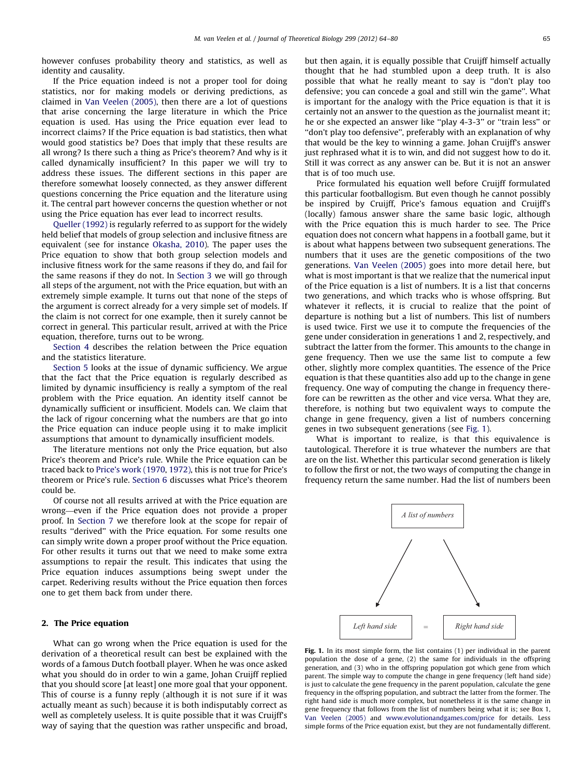<span id="page-1-0"></span>however confuses probability theory and statistics, as well as identity and causality.

If the Price equation indeed is not a proper tool for doing statistics, nor for making models or deriving predictions, as claimed in [Van Veelen \(2005\),](#page-16-0) then there are a lot of questions that arise concerning the large literature in which the Price equation is used. Has using the Price equation ever lead to incorrect claims? If the Price equation is bad statistics, then what would good statistics be? Does that imply that these results are all wrong? Is there such a thing as Price's theorem? And why is it called dynamically insufficient? In this paper we will try to address these issues. The different sections in this paper are therefore somewhat loosely connected, as they answer different questions concerning the Price equation and the literature using it. The central part however concerns the question whether or not using the Price equation has ever lead to incorrect results.

[Queller \(1992\)](#page-16-0) is regularly referred to as support for the widely held belief that models of group selection and inclusive fitness are equivalent (see for instance [Okasha, 2010\)](#page-16-0). The paper uses the Price equation to show that both group selection models and inclusive fitness work for the same reasons if they do, and fail for the same reasons if they do not. In [Section 3](#page-3-0) we will go through all steps of the argument, not with the Price equation, but with an extremely simple example. It turns out that none of the steps of the argument is correct already for a very simple set of models. If the claim is not correct for one example, then it surely cannot be correct in general. This particular result, arrived at with the Price equation, therefore, turns out to be wrong.

[Section 4](#page-8-0) describes the relation between the Price equation and the statistics literature.

[Section 5](#page-8-0) looks at the issue of dynamic sufficiency. We argue that the fact that the Price equation is regularly described as limited by dynamic insufficiency is really a symptom of the real problem with the Price equation. An identity itself cannot be dynamically sufficient or insufficient. Models can. We claim that the lack of rigour concerning what the numbers are that go into the Price equation can induce people using it to make implicit assumptions that amount to dynamically insufficient models.

The literature mentions not only the Price equation, but also Price's theorem and Price's rule. While the Price equation can be traced back to [Price's work \(1970,](#page-16-0) [1972\),](#page-16-0) this is not true for Price's theorem or Price's rule. [Section 6](#page-9-0) discusses what Price's theorem could be.

Of course not all results arrived at with the Price equation are wrong—even if the Price equation does not provide a proper proof. In [Section 7](#page-10-0) we therefore look at the scope for repair of results ''derived'' with the Price equation. For some results one can simply write down a proper proof without the Price equation. For other results it turns out that we need to make some extra assumptions to repair the result. This indicates that using the Price equation induces assumptions being swept under the carpet. Rederiving results without the Price equation then forces one to get them back from under there.

## 2. The Price equation

What can go wrong when the Price equation is used for the derivation of a theoretical result can best be explained with the words of a famous Dutch football player. When he was once asked what you should do in order to win a game, Johan Cruijff replied that you should score [at least] one more goal that your opponent. This of course is a funny reply (although it is not sure if it was actually meant as such) because it is both indisputably correct as well as completely useless. It is quite possible that it was Cruijff's way of saying that the question was rather unspecific and broad,

but then again, it is equally possible that Cruijff himself actually thought that he had stumbled upon a deep truth. It is also possible that what he really meant to say is ''don't play too defensive; you can concede a goal and still win the game''. What is important for the analogy with the Price equation is that it is certainly not an answer to the question as the journalist meant it; he or she expected an answer like ''play 4-3-3'' or ''train less'' or "don't play too defensive", preferably with an explanation of why that would be the key to winning a game. Johan Cruijff's answer just rephrased what it is to win, and did not suggest how to do it. Still it was correct as any answer can be. But it is not an answer that is of too much use.

Price formulated his equation well before Cruijff formulated this particular footballogism. But even though he cannot possibly be inspired by Cruijff, Price's famous equation and Cruijff's (locally) famous answer share the same basic logic, although with the Price equation this is much harder to see. The Price equation does not concern what happens in a football game, but it is about what happens between two subsequent generations. The numbers that it uses are the genetic compositions of the two generations. [Van Veelen \(2005\)](#page-16-0) goes into more detail here, but what is most important is that we realize that the numerical input of the Price equation is a list of numbers. It is a list that concerns two generations, and which tracks who is whose offspring. But whatever it reflects, it is crucial to realize that the point of departure is nothing but a list of numbers. This list of numbers is used twice. First we use it to compute the frequencies of the gene under consideration in generations 1 and 2, respectively, and subtract the latter from the former. This amounts to the change in gene frequency. Then we use the same list to compute a few other, slightly more complex quantities. The essence of the Price equation is that these quantities also add up to the change in gene frequency. One way of computing the change in frequency therefore can be rewritten as the other and vice versa. What they are, therefore, is nothing but two equivalent ways to compute the change in gene frequency, given a list of numbers concerning genes in two subsequent generations (see Fig. 1).

What is important to realize, is that this equivalence is tautological. Therefore it is true whatever the numbers are that are on the list. Whether this particular second generation is likely to follow the first or not, the two ways of computing the change in frequency return the same number. Had the list of numbers been



Fig. 1. In its most simple form, the list contains (1) per individual in the parent population the dose of a gene, (2) the same for individuals in the offspring generation, and (3) who in the offspring population got which gene from which parent. The simple way to compute the change in gene frequency (left hand side) is just to calculate the gene frequency in the parent population, calculate the gene frequency in the offspring population, and subtract the latter from the former. The right hand side is much more complex, but nonetheless it is the same change in gene frequency that follows from the list of numbers being what it is; see Box 1, [Van Veelen \(2005\)](#page-16-0) and <www.evolutionandgames.com/price> for details. Less simple forms of the Price equation exist, but they are not fundamentally different.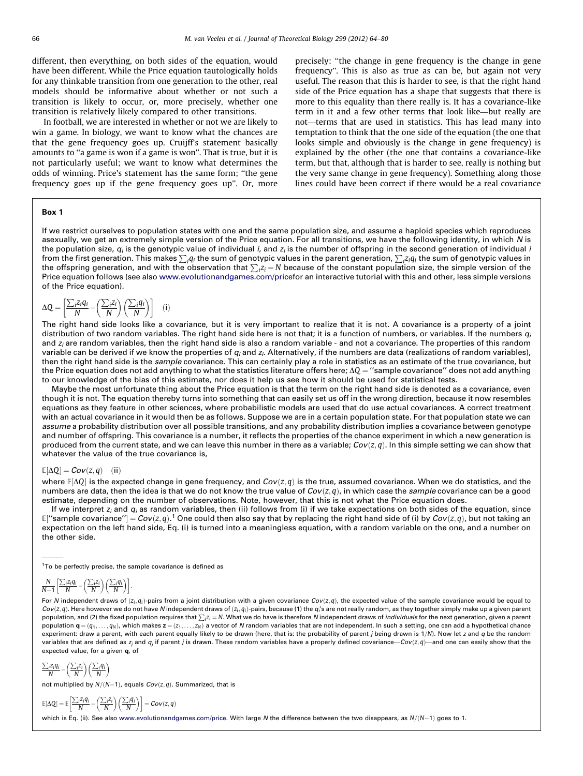different, then everything, on both sides of the equation, would have been different. While the Price equation tautologically holds for any thinkable transition from one generation to the other, real models should be informative about whether or not such a transition is likely to occur, or, more precisely, whether one transition is relatively likely compared to other transitions.

In football, we are interested in whether or not we are likely to win a game. In biology, we want to know what the chances are that the gene frequency goes up. Cruijff's statement basically amounts to ''a game is won if a game is won''. That is true, but it is not particularly useful; we want to know what determines the odds of winning. Price's statement has the same form; ''the gene frequency goes up if the gene frequency goes up''. Or, more precisely: ''the change in gene frequency is the change in gene frequency''. This is also as true as can be, but again not very useful. The reason that this is harder to see, is that the right hand side of the Price equation has a shape that suggests that there is more to this equality than there really is. It has a covariance-like term in it and a few other terms that look like—but really are not—terms that are used in statistics. This has lead many into temptation to think that the one side of the equation (the one that looks simple and obviously is the change in gene frequency) is explained by the other (the one that contains a covariance-like term, but that, although that is harder to see, really is nothing but the very same change in gene frequency). Something along those lines could have been correct if there would be a real covariance

#### **Box 1**

If we restrict ourselves to population states with one and the same population size, and assume a haploid species which reproduces asexually, we get an extremely simple version of the Price equation. For all transitions, we have the following identity, in which N is the population size,  $q_i$  is the genotypic value of individual i, and  $z_i$  is the number of offspring in the second generation of individual i from the first generation. This makes  $\sum_i\!q_i$  the sum of genotypic values in the parent generation,  $\sum_i\!z_iq_i$  the sum of genotypic values in the offspring generation, and with the observation that  $\sum_i z_i = N$  because of the constant population size, the simple version of the Price equation follows (see also [www.evolutionandgames.com/pricef](www.evolutionandgames.com/price)or an interactive tutorial with this and other, less simple versions of the Price equation).

$$
\Delta Q = \left[ \frac{\sum_{i} z_i q_i}{N} - \left( \frac{\sum_{i} z_i}{N} \right) \left( \frac{\sum_{i} q_i}{N} \right) \right] \quad (i)
$$

The right hand side looks like a covariance, but it is very important to realize that it is not. A covariance is a property of a joint distribution of two random variables. The right hand side here is not that; it is a function of numbers, or variables. If the numbers  $q_i$ and  $z_i$  are random variables, then the right hand side is also a random variable - and not a covariance. The properties of this random variable can be derived if we know the properties of  $q_i$  and  $z_i$ . Alternatively, if the numbers are data (realizations of random variables), then the right hand side is the sample covariance. This can certainly play a role in statistics as an estimate of the true covariance, but the Price equation does not add anything to what the statistics literature offers here;  $\Delta Q =$  "sample covariance" does not add anything to our knowledge of the bias of this estimate, nor does it help us see how it should be used for statistical tests.

Maybe the most unfortunate thing about the Price equation is that the term on the right hand side is denoted as a covariance, even though it is not. The equation thereby turns into something that can easily set us off in the wrong direction, because it now resembles equations as they feature in other sciences, where probabilistic models are used that do use actual covariances. A correct treatment with an actual covariance in it would then be as follows. Suppose we are in a certain population state. For that population state we can assume a probability distribution over all possible transitions, and any probability distribution implies a covariance between genotype and number of offspring. This covariance is a number, it reflects the properties of the chance experiment in which a new generation is produced from the current state, and we can leave this number in there as a variable;  $Cov(z, q)$ . In this simple setting we can show that whatever the value of the true covariance is,

## $E[\Delta Q] = Cov(z, q)$  (ii)

where  $\mathbb{E}[\Delta Q]$  is the expected change in gene frequency, and  $Cov(z, q)$  is the true, assumed covariance. When we do statistics, and the numbers are data, then the idea is that we do not know the true value of  $Cov(z, q)$ , in which case the sample covariance can be a good estimate, depending on the number of observations. Note, however, that this is not what the Price equation does.

If we interpret  $z_i$  and  $q_i$  as random variables, then (ii) follows from (i) if we take expectations on both sides of the equation, since  $\mathbb{E}$  sample covariance''] =  $Cov(z,q)$ . One could then also say that by replacing the right hand side of (i) by  $Cov(z,q)$ , but not taking an expectation on the left hand side, Eq. (i) is turned into a meaningless equation, with a random variable on the one, and a number on the other side.

<sup>1</sup>To be perfectly precise, the sample covariance is defined as

$$
\frac{N}{N-1}\left[\frac{\sum_{i}z_{i}q_{i}}{N}-\left(\frac{\sum_{i}z_{i}}{N}\right)\left(\frac{\sum_{i}q_{i}}{N}\right)\right].
$$

———

For N independent draws of  $(z_i, q_i)$ -pairs from a joint distribution with a given covariance  $Cov(z, q)$ , the expected value of the sample covariance would be equal to  $Cov(z, q)$ . Here however we do not have N independent draws of  $(z_i, q_i)$ -pairs, because (1) the  $q_i$ 's are not really random, as they together simply make up a given parent population, and (2) the fixed population requires that  $\sum_i\!z_i =$  N. What we do have is therefore *N* independent draws of *individuals* for the next generation, given a parent population  $\mathbf{q} = (q_1, \ldots, q_N)$ , which makes  $\mathbf{z} = (z_1, \ldots, z_N)$  a vector of N random variables that are not independent. In such a setting, one can add a hypothetical chance experiment: draw a parent, with each parent equally likely to be drawn (here, that is: the probability of parent j being drawn is 1/N). Now let z and q be the random variables that are defined as  $z_j$  and  $q_j$  if parent *j* is drawn. These random variables have a properly defined covariance—Cov $(z, q)$ —and one can easily show that the expected value, for a given **q**, of

$$
\frac{\sum_i z_i q_i}{N} - \left(\frac{\sum_i z_i}{N}\right) \left(\frac{\sum_i q_i}{N}\right)
$$

not multiplied by  $N/(N-1)$ , equals  $Cov(z, q)$ . Summarized, that is

 $\mathbb{E}[\Delta Q] = \mathbb{E}\left[\frac{\sum_i z_i q_i}{N} - \left(\frac{\sum_i z_i}{N}\right)\right]$  $\left(\frac{\sum_i z_i}{N}\right)\left(\frac{\sum_i q_i}{N}\right)$  $\left[ \frac{\sum_i z_i q_i}{N} - \left( \frac{\sum_i z_i}{N} \right) \left( \frac{\sum_i q_i}{N} \right) \right] = Cov(z, q)$ 

which is Eq. (ii). See also <www.evolutionandgames.com/price>. With large N the difference between the two disappears, as  $N/(N-1)$  goes to 1.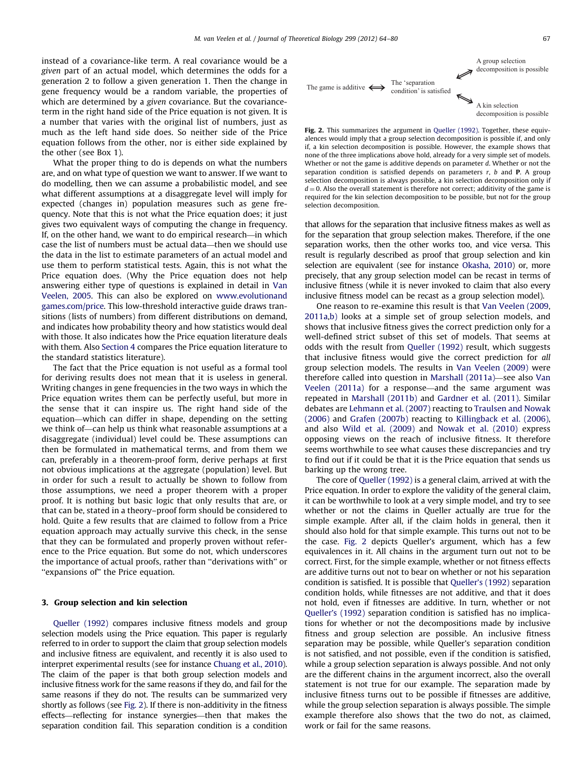<span id="page-3-0"></span>instead of a covariance-like term. A real covariance would be a given part of an actual model, which determines the odds for a generation 2 to follow a given generation 1. Then the change in gene frequency would be a random variable, the properties of which are determined by a given covariance. But the covarianceterm in the right hand side of the Price equation is not given. It is a number that varies with the original list of numbers, just as much as the left hand side does. So neither side of the Price equation follows from the other, nor is either side explained by the other (see Box 1).

What the proper thing to do is depends on what the numbers are, and on what type of question we want to answer. If we want to do modelling, then we can assume a probabilistic model, and see what different assumptions at a disaggregate level will imply for expected (changes in) population measures such as gene frequency. Note that this is not what the Price equation does; it just gives two equivalent ways of computing the change in frequency. If, on the other hand, we want to do empirical research—in which case the list of numbers must be actual data—then we should use the data in the list to estimate parameters of an actual model and use them to perform statistical tests. Again, this is not what the Price equation does. (Why the Price equation does not help answering either type of questions is explained in detail in [Van](#page-16-0) [Veelen, 2005](#page-16-0). This can also be explored on [www.evolutionand](www.evolutionandgames.com/price) [games.com/price](www.evolutionandgames.com/price). This low-threshold interactive guide draws transitions (lists of numbers) from different distributions on demand, and indicates how probability theory and how statistics would deal with those. It also indicates how the Price equation literature deals with them. Also [Section 4](#page-8-0) compares the Price equation literature to the standard statistics literature).

The fact that the Price equation is not useful as a formal tool for deriving results does not mean that it is useless in general. Writing changes in gene frequencies in the two ways in which the Price equation writes them can be perfectly useful, but more in the sense that it can inspire us. The right hand side of the equation—which can differ in shape, depending on the setting we think of—can help us think what reasonable assumptions at a disaggregate (individual) level could be. These assumptions can then be formulated in mathematical terms, and from them we can, preferably in a theorem-proof form, derive perhaps at first not obvious implications at the aggregate (population) level. But in order for such a result to actually be shown to follow from those assumptions, we need a proper theorem with a proper proof. It is nothing but basic logic that only results that are, or that can be, stated in a theory–proof form should be considered to hold. Quite a few results that are claimed to follow from a Price equation approach may actually survive this check, in the sense that they can be formulated and properly proven without reference to the Price equation. But some do not, which underscores the importance of actual proofs, rather than ''derivations with'' or ''expansions of'' the Price equation.

## 3. Group selection and kin selection

[Queller \(1992\)](#page-16-0) compares inclusive fitness models and group selection models using the Price equation. This paper is regularly referred to in order to support the claim that group selection models and inclusive fitness are equivalent, and recently it is also used to interpret experimental results (see for instance [Chuang et al., 2010\)](#page-16-0). The claim of the paper is that both group selection models and inclusive fitness work for the same reasons if they do, and fail for the same reasons if they do not. The results can be summarized very shortly as follows (see Fig. 2). If there is non-additivity in the fitness effects—reflecting for instance synergies—then that makes the separation condition fail. This separation condition is a condition



Fig. 2. This summarizes the argument in [Queller \(1992\)](#page-16-0). Together, these equivalences would imply that a group selection decomposition is possible if, and only if, a kin selection decomposition is possible. However, the example shows that none of the three implications above hold, already for a very simple set of models. Whether or not the game is additive depends on parameter d. Whether or not the separation condition is satisfied depends on parameters  $r$ ,  $b$  and  $P$ . A group selection decomposition is always possible, a kin selection decomposition only if  $d = 0$ . Also the overall statement is therefore not correct; additivity of the game is required for the kin selection decomposition to be possible, but not for the group selection decomposition.

that allows for the separation that inclusive fitness makes as well as for the separation that group selection makes. Therefore, if the one separation works, then the other works too, and vice versa. This result is regularly described as proof that group selection and kin selection are equivalent (see for instance [Okasha, 2010](#page-16-0)) or, more precisely, that any group selection model can be recast in terms of inclusive fitness (while it is never invoked to claim that also every inclusive fitness model can be recast as a group selection model).

One reason to re-examine this result is that [Van Veelen \(2009,](#page-16-0) [2011a](#page-16-0),[b\)](#page-16-0) looks at a simple set of group selection models, and shows that inclusive fitness gives the correct prediction only for a well-defined strict subset of this set of models. That seems at odds with the result from [Queller \(1992\)](#page-16-0) result, which suggests that inclusive fitness would give the correct prediction for all group selection models. The results in [Van Veelen \(2009\)](#page-16-0) were therefore called into question in [Marshall \(2011a\)](#page-16-0)—see also [Van](#page-16-0) [Veelen \(2011a\)](#page-16-0) for a response—and the same argument was repeated in [Marshall \(2011b\)](#page-16-0) and [Gardner et al. \(2011\)](#page-16-0). Similar debates are [Lehmann et al. \(2007\)](#page-16-0) reacting to [Traulsen and Nowak](#page-16-0) [\(2006\)](#page-16-0) and [Grafen \(2007b\)](#page-16-0) reacting to [Killingback et al. \(2006\),](#page-16-0) and also [Wild et al. \(2009\)](#page-16-0) and [Nowak et al. \(2010\)](#page-16-0) express opposing views on the reach of inclusive fitness. It therefore seems worthwhile to see what causes these discrepancies and try to find out if it could be that it is the Price equation that sends us barking up the wrong tree.

The core of [Queller \(1992\)](#page-16-0) is a general claim, arrived at with the Price equation. In order to explore the validity of the general claim, it can be worthwhile to look at a very simple model, and try to see whether or not the claims in Queller actually are true for the simple example. After all, if the claim holds in general, then it should also hold for that simple example. This turns out not to be the case. Fig. 2 depicts Queller's argument, which has a few equivalences in it. All chains in the argument turn out not to be correct. First, for the simple example, whether or not fitness effects are additive turns out not to bear on whether or not his separation condition is satisfied. It is possible that [Queller's \(1992\)](#page-16-0) separation condition holds, while fitnesses are not additive, and that it does not hold, even if fitnesses are additive. In turn, whether or not [Queller's \(1992\)](#page-16-0) separation condition is satisfied has no implications for whether or not the decompositions made by inclusive fitness and group selection are possible. An inclusive fitness separation may be possible, while Queller's separation condition is not satisfied, and not possible, even if the condition is satisfied, while a group selection separation is always possible. And not only are the different chains in the argument incorrect, also the overall statement is not true for our example. The separation made by inclusive fitness turns out to be possible if fitnesses are additive, while the group selection separation is always possible. The simple example therefore also shows that the two do not, as claimed, work or fail for the same reasons.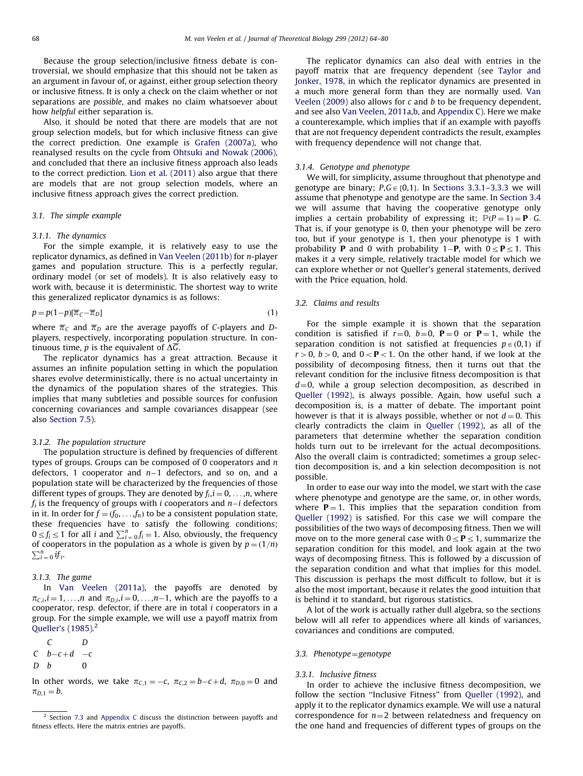Because the group selection/inclusive fitness debate is controversial, we should emphasize that this should not be taken as an argument in favour of, or against, either group selection theory or inclusive fitness. It is only a check on the claim whether or not separations are possible, and makes no claim whatsoever about how helpful either separation is.

Also, it should be noted that there are models that are not group selection models, but for which inclusive fitness can give the correct prediction. One example is [Grafen \(2007a\),](#page-16-0) who reanalysed results on the cycle from [Ohtsuki and Nowak \(2006\),](#page-16-0) and concluded that there an inclusive fitness approach also leads to the correct prediction. [Lion et al. \(2011\)](#page-16-0) also argue that there are models that are not group selection models, where an inclusive fitness approach gives the correct prediction.

#### 3.1. The simple example

#### 3.1.1. The dynamics

For the simple example, it is relatively easy to use the replicator dynamics, as defined in [Van Veelen \(2011b\)](#page-16-0) for n-player games and population structure. This is a perfectly regular, ordinary model (or set of models). It is also relatively easy to work with, because it is deterministic. The shortest way to write this generalized replicator dynamics is as follows:

$$
p = p(1-p)[\overline{\pi}_C - \overline{\pi}_D]
$$
\n<sup>(1)</sup>

where  $\overline{\pi}_C$  and  $\overline{\pi}_D$  are the average payoffs of C-players and Dplayers, respectively, incorporating population structure. In continuous time, p is the equivalent of  $\Delta \vec{c}$ .

The replicator dynamics has a great attraction. Because it assumes an infinite population setting in which the population shares evolve deterministically, there is no actual uncertainty in the dynamics of the population shares of the strategies. This implies that many subtleties and possible sources for confusion concerning covariances and sample covariances disappear (see also [Section 7.5\)](#page-11-0).

#### 3.1.2. The population structure

The population structure is defined by frequencies of different types of groups. Groups can be composed of  $0$  cooperators and  $n$ defectors, 1 cooperator and  $n-1$  defectors, and so on, and a population state will be characterized by the frequencies of those different types of groups. They are denoted by  $f_i, i = 0, \ldots, n$ , where  $f_i$  is the frequency of groups with *i* cooperators and  $n-i$  defectors in it. In order for  $f = (f_0, \ldots, f_n)$  to be a consistent population state, these frequencies have to satisfy the following conditions;  $0 \le f_i \le 1$  for all *i* and  $\sum_{i=0}^{n} f_i = 1$ . Also, obviously, the frequency of cooperators in the population as a whole is given by  $p = (1/n)$  $\sum_{i=0}^n$  if <sub>i</sub>.

#### 3.1.3. The game

In [Van Veelen \(2011a\),](#page-16-0) the payoffs are denoted by  $\pi_{C,i}$ ,  $i = 1, \ldots, n$  and  $\pi_{D,i}$ ,  $i = 0, \ldots, n-1$ , which are the payoffs to a cooperator, resp. defector, if there are in total  $i$  cooperators in a group. For the simple example, we will use a payoff matrix from [Queller's \(1985\)](#page-16-0).<sup>2</sup>

$$
\begin{array}{ccc}\nC & D \\
C & b-c+d & -c \\
D & b & 0\n\end{array}
$$

In other words, we take  $\pi_{C,1} = -c$ ,  $\pi_{C,2} = b - c + d$ ,  $\pi_{D,0} = 0$  and  $\pi_{D,1} = b.$ 

The replicator dynamics can also deal with entries in the payoff matrix that are frequency dependent (see [Taylor and](#page-16-0) [Jonker, 1978,](#page-16-0) in which the replicator dynamics are presented in a much more general form than they are normally used. [Van](#page-16-0) Veelen  $(2009)$  also allows for c and b to be frequency dependent, and see also [Van Veelen, 2011a,b,](#page-16-0) and [Appendix C\)](#page-15-0). Here we make a counterexample, which implies that if an example with payoffs that are not frequency dependent contradicts the result, examples with frequency dependence will not change that.

#### 3.1.4. Genotype and phenotype

We will, for simplicity, assume throughout that phenotype and genotype are binary;  $P, G \in \{0,1\}$ . In Sections 3.3.1[–3.3.3](#page-5-0) we will assume that phenotype and genotype are the same. In [Section 3.4](#page-5-0) we will assume that having the cooperative genotype only implies a certain probability of expressing it;  $P(P = 1) = P \cdot G$ . That is, if your genotype is 0, then your phenotype will be zero too, but if your genotype is 1, then your phenotype is 1 with probability **P** and 0 with probability 1–**P**, with  $0 \le P \le 1$ . This makes it a very simple, relatively tractable model for which we can explore whether or not Queller's general statements, derived with the Price equation, hold.

#### 3.2. Claims and results

For the simple example it is shown that the separation condition is satisfied if  $r=0$ ,  $b=0$ ,  $P=0$  or  $P=1$ , while the separation condition is not satisfied at frequencies  $p \in (0,1)$  if  $r>0$ ,  $b>0$ , and  $0<\mathbf{P}<1$ . On the other hand, if we look at the possibility of decomposing fitness, then it turns out that the relevant condition for the inclusive fitness decomposition is that  $d=0$ , while a group selection decomposition, as described in [Queller \(1992\),](#page-16-0) is always possible. Again, how useful such a decomposition is, is a matter of debate. The important point however is that it is always possible, whether or not  $d = 0$ . This clearly contradicts the claim in [Queller \(1992\),](#page-16-0) as all of the parameters that determine whether the separation condition holds turn out to be irrelevant for the actual decompositions. Also the overall claim is contradicted; sometimes a group selection decomposition is, and a kin selection decomposition is not possible.

In order to ease our way into the model, we start with the case where phenotype and genotype are the same, or, in other words, where  $P = 1$ . This implies that the separation condition from [Queller \(1992\)](#page-16-0) is satisfied. For this case we will compare the possibilities of the two ways of decomposing fitness. Then we will move on to the more general case with  $0 \le P \le 1$ , summarize the separation condition for this model, and look again at the two ways of decomposing fitness. This is followed by a discussion of the separation condition and what that implies for this model. This discussion is perhaps the most difficult to follow, but it is also the most important, because it relates the good intuition that is behind it to standard, but rigorous statistics.

A lot of the work is actually rather dull algebra, so the sections below will all refer to appendices where all kinds of variances, covariances and conditions are computed.

#### 3.3. Phenotype = genotype

#### 3.3.1. Inclusive fitness

In order to achieve the inclusive fitness decomposition, we follow the section ''Inclusive Fitness'' from [Queller \(1992\),](#page-16-0) and apply it to the replicator dynamics example. We will use a natural correspondence for  $n=2$  between relatedness and frequency on the one hand and frequencies of different types of groups on the

<sup>2</sup> Section [7.3](#page-10-0) and [Appendix C](#page-15-0) discuss the distinction between payoffs and fitness effects. Here the matrix entries are payoffs.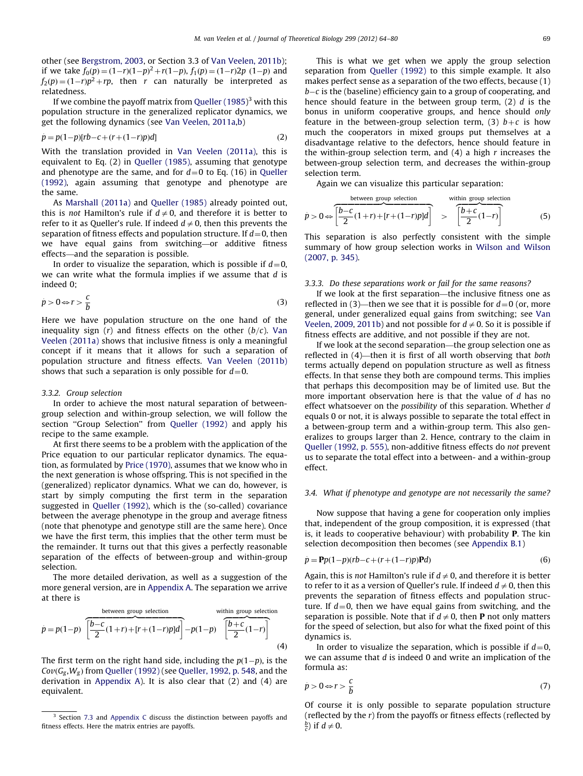<span id="page-5-0"></span>other (see [Bergstrom, 2003,](#page-16-0) or Section 3.3 of [Van Veelen, 2011b\)](#page-16-0); if we take  $f_0(p) = (1-r)(1-p)^2 + r(1-p)$ ,  $f_1(p) = (1-r)2p(1-p)$  and  $f_2(p)=(1-r)p^2+rp$ , then r can naturally be interpreted as relatedness.

If we combine the payoff matrix from [Queller \(1985\)](#page-16-0)<sup>3</sup> with this population structure in the generalized replicator dynamics, we get the following dynamics (see [Van Veelen, 2011a,b\)](#page-16-0)

$$
p = p(1-p)[rb - c + (r + (1-r)p)d]
$$
\n(2)

With the translation provided in [Van Veelen \(2011a\),](#page-16-0) this is equivalent to Eq. (2) in [Queller \(1985\)](#page-16-0), assuming that genotype and phenotype are the same, and for  $d=0$  to Eq. (16) in [Queller](#page-16-0) [\(1992\),](#page-16-0) again assuming that genotype and phenotype are the same.

As [Marshall \(2011a\)](#page-16-0) and [Queller \(1985\)](#page-16-0) already pointed out, this is not Hamilton's rule if  $d \neq 0$ , and therefore it is better to refer to it as Queller's rule. If indeed  $d \neq 0$ , then this prevents the separation of fitness effects and population structure. If  $d=0$ , then we have equal gains from switching—or additive fitness effects—and the separation is possible.

In order to visualize the separation, which is possible if  $d=0$ , we can write what the formula implies if we assume that  $d$  is indeed 0;

$$
\dot{p} > 0 \Leftrightarrow r > \frac{c}{b} \tag{3}
$$

Here we have population structure on the one hand of the inequality sign (r) and fitness effects on the other ( $b/c$ ). [Van](#page-16-0) [Veelen \(2011a\)](#page-16-0) shows that inclusive fitness is only a meaningful concept if it means that it allows for such a separation of population structure and fitness effects. [Van Veelen \(2011b\)](#page-16-0) shows that such a separation is only possible for  $d=0$ .

#### 3.3.2. Group selection

In order to achieve the most natural separation of betweengroup selection and within-group selection, we will follow the section "Group Selection" from [Queller \(1992\)](#page-16-0) and apply his recipe to the same example.

At first there seems to be a problem with the application of the Price equation to our particular replicator dynamics. The equation, as formulated by [Price \(1970\)](#page-16-0), assumes that we know who in the next generation is whose offspring. This is not specified in the (generalized) replicator dynamics. What we can do, however, is start by simply computing the first term in the separation suggested in [Queller \(1992\)](#page-16-0), which is the (so-called) covariance between the average phenotype in the group and average fitness (note that phenotype and genotype still are the same here). Once we have the first term, this implies that the other term must be the remainder. It turns out that this gives a perfectly reasonable separation of the effects of between-group and within-group selection.

The more detailed derivation, as well as a suggestion of the more general version, are in [Appendix A](#page-12-0). The separation we arrive at there is

between group selection  
\n
$$
\dot{p} = p(1-p) \left[ \frac{\overline{b-c}}{2} (1+r) + [r + (1-r)p]d \right] - p(1-p) \left[ \frac{\overline{b+c}}{2} (1-r) \right]
$$
\n(4)

The first term on the right hand side, including the  $p(1-p)$ , is the  $Cov(G_g, W_g)$  from [Queller \(1992\)](#page-16-0) (see [Queller, 1992, p. 548](#page-16-0), and the derivation in [Appendix A](#page-12-0)). It is also clear that (2) and (4) are equivalent.

This is what we get when we apply the group selection separation from [Queller \(1992\)](#page-16-0) to this simple example. It also makes perfect sense as a separation of the two effects, because (1)  $b-c$  is the (baseline) efficiency gain to a group of cooperating, and hence should feature in the between group term,  $(2)$  d is the bonus in uniform cooperative groups, and hence should only feature in the between-group selection term, (3)  $b+c$  is how much the cooperators in mixed groups put themselves at a disadvantage relative to the defectors, hence should feature in the within-group selection term, and  $(4)$  a high r increases the between-group selection term, and decreases the within-group selection term.

Again we can visualize this particular separation:

between group selection  
\n
$$
p > 0 \Leftrightarrow \boxed{\frac{b-c}{2}(1+r) + [r+(1-r)p]d}
$$
  $\times \boxed{\frac{b+c}{2}(1-r)}$  (5)

This separation is also perfectly consistent with the simple summary of how group selection works in [Wilson and Wilson](#page-16-0) [\(2007, p. 345\).](#page-16-0)

#### 3.3.3. Do these separations work or fail for the same reasons?

If we look at the first separation—the inclusive fitness one as reflected in (3)—then we see that it is possible for  $d=0$  (or, more general, under generalized equal gains from switching; see [Van](#page-16-0) [Veelen, 2009,](#page-16-0) [2011b](#page-16-0)) and not possible for  $d \neq 0$ . So it is possible if fitness effects are additive, and not possible if they are not.

If we look at the second separation—the group selection one as reflected in (4)—then it is first of all worth observing that both terms actually depend on population structure as well as fitness effects. In that sense they both are compound terms. This implies that perhaps this decomposition may be of limited use. But the more important observation here is that the value of d has no effect whatsoever on the possibility of this separation. Whether d equals 0 or not, it is always possible to separate the total effect in a between-group term and a within-group term. This also generalizes to groups larger than 2. Hence, contrary to the claim in [Queller \(1992, p. 555\),](#page-16-0) non-additive fitness effects do not prevent us to separate the total effect into a between- and a within-group effect.

# 3.4. What if phenotype and genotype are not necessarily the same?

Now suppose that having a gene for cooperation only implies that, independent of the group composition, it is expressed (that is, it leads to cooperative behaviour) with probability P. The kin selection decomposition then becomes (see [Appendix B.1\)](#page-12-0)

$$
\dot{p} = \mathbf{P}p(1-p)(rb - c + (r + (1-r)p)\mathbf{P}d)
$$
\n(6)

Again, this is *not* Hamilton's rule if  $d \neq 0$ , and therefore it is better to refer to it as a version of Queller's rule. If indeed  $d \neq 0$ , then this prevents the separation of fitness effects and population structure. If  $d=0$ , then we have equal gains from switching, and the separation is possible. Note that if  $d \neq 0$ , then **P** not only matters for the speed of selection, but also for what the fixed point of this dynamics is.

In order to visualize the separation, which is possible if  $d=0$ , we can assume that d is indeed 0 and write an implication of the formula as:

$$
\dot{p} > 0 \Leftrightarrow r > \frac{c}{b} \tag{7}
$$

Of course it is only possible to separate population structure (reflected by the r) from the payoffs or fitness effects (reflected by  $\frac{b}{c}$ ) if  $d \neq 0$ .

<sup>3</sup> Section [7.3](#page-10-0) and [Appendix C](#page-15-0) discuss the distinction between payoffs and fitness effects. Here the matrix entries are payoffs.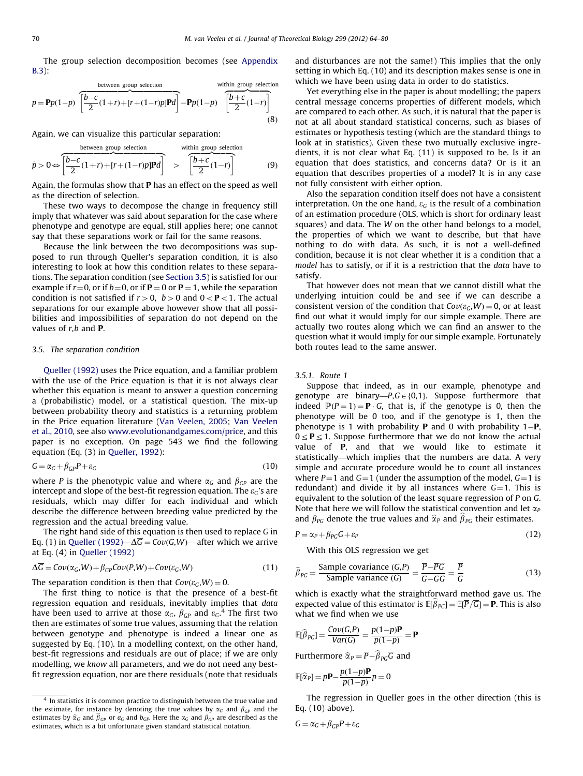<span id="page-6-0"></span>The group selection decomposition becomes (see [Appendix](#page-13-0) [B.3\)](#page-13-0):

between group selection  
\n
$$
p = \mathbf{P}p(1-p) \left[ \frac{b-c}{2} (1+r) + [r + (1-r)p] \mathbf{P}d \right] - \mathbf{P}p(1-p) \left[ \frac{b+c}{2} (1-r) \right]
$$
\n(8)

Again, we can visualize this particular separation:

between group selection  
\n
$$
\dot{p} > 0 \Leftrightarrow \left[\frac{\overline{b-c}}{2}(1+r) + [r + (1-r)p] \mathbf{P}d\right] > \left[\frac{\overline{b+c}}{2}(1-r)\right]
$$
\n(9)

Again, the formulas show that P has an effect on the speed as well as the direction of selection.

These two ways to decompose the change in frequency still imply that whatever was said about separation for the case where phenotype and genotype are equal, still applies here; one cannot say that these separations work or fail for the same reasons.

Because the link between the two decompositions was supposed to run through Queller's separation condition, it is also interesting to look at how this condition relates to these separations. The separation condition (see Section 3.5) is satisfied for our example if  $r=0$ , or if  $b=0$ , or if  $P=0$  or  $P=1$ , while the separation condition is not satisfied if  $r>0$ ,  $b>0$  and  $0<\mathbf{P}<1$ . The actual separations for our example above however show that all possibilities and impossibilities of separation do not depend on the values of  $r, b$  and  $P$ .

#### 3.5. The separation condition

[Queller \(1992\)](#page-16-0) uses the Price equation, and a familiar problem with the use of the Price equation is that it is not always clear whether this equation is meant to answer a question concerning a (probabilistic) model, or a statistical question. The mix-up between probability theory and statistics is a returning problem in the Price equation literature [\(Van Veelen, 2005](#page-16-0); [Van Veelen](#page-16-0) [et al., 2010](#page-16-0), see also [www.evolutionandgames.com/price,](www.evolutionandgames.com/price) and this paper is no exception. On page 543 we find the following equation (Eq. (3) in [Queller, 1992\)](#page-16-0):

$$
G = \alpha_G + \beta_{GP} P + \varepsilon_G \tag{10}
$$

where P is the phenotypic value and where  $\alpha_G$  and  $\beta_{GP}$  are the intercept and slope of the best-fit regression equation. The  $\varepsilon_{G}$ 's are residuals, which may differ for each individual and which describe the difference between breeding value predicted by the regression and the actual breeding value.

The right hand side of this equation is then used to replace G in Eq. (1) in [Queller \(1992\)](#page-16-0)— $\Delta G = Cov(G,W)$ —after which we arrive at Eq. (4) in [Queller \(1992\)](#page-16-0)

$$
\Delta G = Cov(\alpha_G, W) + \beta_{GP} Cov(P, W) + Cov(\varepsilon_G, W)
$$
\n(11)

The separation condition is then that  $Cov(\varepsilon_G, W) = 0$ .

The first thing to notice is that the presence of a best-fit regression equation and residuals, inevitably implies that data have been used to arrive at those  $\alpha_G$ ,  $\beta_{GP}$  and  $\varepsilon_G.^4$  The first two then are estimates of some true values, assuming that the relation between genotype and phenotype is indeed a linear one as suggested by Eq. (10). In a modelling context, on the other hand, best-fit regressions and residuals are out of place; if we are only modelling, we know all parameters, and we do not need any bestfit regression equation, nor are there residuals (note that residuals and disturbances are not the same!) This implies that the only setting in which Eq. (10) and its description makes sense is one in which we have been using data in order to do statistics.

Yet everything else in the paper is about modelling; the papers central message concerns properties of different models, which are compared to each other. As such, it is natural that the paper is not at all about standard statistical concerns, such as biases of estimates or hypothesis testing (which are the standard things to look at in statistics). Given these two mutually exclusive ingredients, it is not clear what Eq. (11) is supposed to be. Is it an equation that does statistics, and concerns data? Or is it an equation that describes properties of a model? It is in any case not fully consistent with either option.

Also the separation condition itself does not have a consistent interpretation. On the one hand,  $\varepsilon_G$  is the result of a combination of an estimation procedure (OLS, which is short for ordinary least squares) and data. The W on the other hand belongs to a model, the properties of which we want to describe, but that have nothing to do with data. As such, it is not a well-defined condition, because it is not clear whether it is a condition that a model has to satisfy, or if it is a restriction that the data have to satisfy.

That however does not mean that we cannot distill what the underlying intuition could be and see if we can describe a consistent version of the condition that  $Cov(\varepsilon_G, W) = 0$ , or at least find out what it would imply for our simple example. There are actually two routes along which we can find an answer to the question what it would imply for our simple example. Fortunately both routes lead to the same answer.

3.5.1. Route 1

Suppose that indeed, as in our example, phenotype and genotype are binary— $P$ ,  $G \in \{0,1\}$ . Suppose furthermore that indeed  $P(P = 1) = P \cdot G$ , that is, if the genotype is 0, then the phenotype will be 0 too, and if the genotype is 1, then the phenotype is 1 with probability **P** and 0 with probability  $1-P$ ,  $0 \leq P \leq 1$ . Suppose furthermore that we do not know the actual value of P, and that we would like to estimate it statistically—which implies that the numbers are data. A very simple and accurate procedure would be to count all instances where  $P=1$  and  $G=1$  (under the assumption of the model,  $G=1$  is redundant) and divide it by all instances where  $G=1$ . This is equivalent to the solution of the least square regression of P on G. Note that here we will follow the statistical convention and let  $\alpha_P$ and  $\beta_{PG}$  denote the true values and  $\hat{\alpha}_P$  and  $\beta_{PG}$  their estimates.

$$
P = \alpha_P + \beta_{PG} G + \varepsilon_P \tag{12}
$$

With this OLS regression we get

$$
\widehat{\beta}_{PG} = \frac{\text{Sample covariance } (G, P)}{\text{Sample variance } (G)} = \frac{\overline{P} - \overline{PG}}{\overline{G} - \overline{GG}} = \frac{\overline{P}}{\overline{G}} \tag{13}
$$

which is exactly what the straightforward method gave us. The expected value of this estimator is  $\mathbb{E}[\beta_{PG}] = \mathbb{E}[\overline{P}/\overline{G}] = \mathbf{P}$ . This is also what we find when we use

$$
\mathbb{E}[\widehat{\beta}_{PG}] = \frac{Cov(G, P)}{Var(G)} = \frac{p(1-p)\mathbf{P}}{p(1-p)} = \mathbf{P}
$$
  
Furthermore  $\widehat{\alpha}_P = \overline{P} - \widehat{\beta}_{PG}\overline{G}$  and

$$
\mathbb{E}[\widehat{\alpha}_P] = p\mathbf{P} - \frac{p(1-p)\mathbf{P}}{p(1-p)}p = 0
$$

The regression in Queller goes in the other direction (this is Eq. (10) above).

$$
G = \alpha_G + \beta_{GP} P + \varepsilon_G
$$

<sup>&</sup>lt;sup>4</sup> In statistics it is common practice to distinguish between the true value and the estimate, for instance by denoting the true values by  $\alpha_G$  and  $\beta_{GP}$  and the estimates by  $\widehat{\alpha}_G$  and  $\beta_{GP}$  or  $a_G$  and  $b_{GP}$ . Here the  $\alpha_G$  and  $\beta_{GP}$  are described as the estimates, which is a bit unfortunate given standard statistical notation.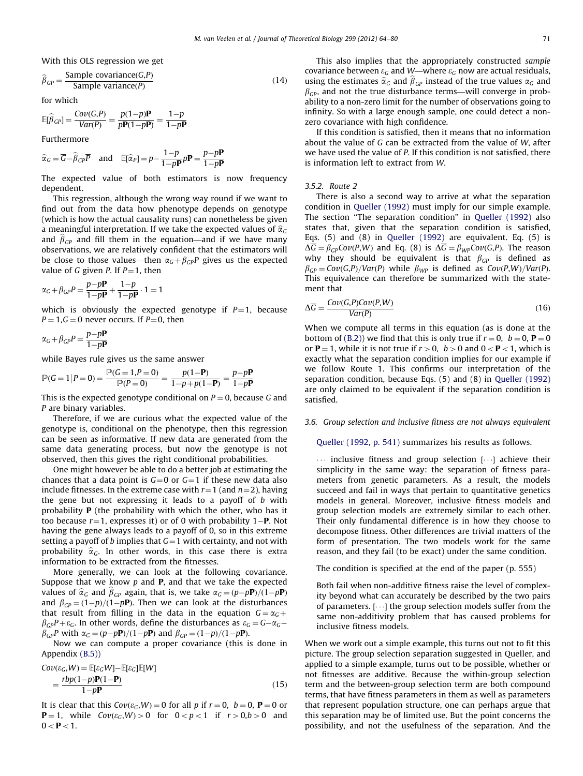With this OLS regression we get

$$
\widehat{\beta}_{GP} = \frac{\text{Sample covariance}(G, P)}{\text{Sample variance}(P)}\tag{14}
$$

for which

$$
\mathbb{E}[\widehat{\beta}_{GP}] = \frac{Cov(G, P)}{Var(P)} = \frac{p(1-p)\mathbf{P}}{p\mathbf{P}(1-p\mathbf{P})} = \frac{1-p}{1-p\mathbf{P}}
$$

Furthermore

$$
\widehat{\alpha}_G = \overline{G} - \widehat{\beta}_{GP} \overline{P} \quad \text{and} \quad \mathbb{E}[\widehat{\alpha}_P] = p - \frac{1 - p}{1 - pP} pP = \frac{p - pP}{1 - pP}
$$

The expected value of both estimators is now frequency dependent.

This regression, although the wrong way round if we want to find out from the data how phenotype depends on genotype (which is how the actual causality runs) can nonetheless be given a meaningful interpretation. If we take the expected values of  $\hat{\alpha}_G$ and  $\beta_{CP}$  and fill them in the equation—and if we have many observations, we are relatively confident that the estimators will be close to those values—then  $\alpha_G + \beta_{GP}P$  gives us the expected value of G given P. If  $P=1$ , then

$$
\alpha_G + \beta_{GP}P = \frac{p - p\mathbf{P}}{1 - p\mathbf{P}} + \frac{1 - p}{1 - p\mathbf{P}} \cdot 1 = 1
$$

which is obviously the expected genotype if  $P=1$ , because  $P = 1, G = 0$  never occurs. If  $P = 0$ , then

$$
\alpha_G + \beta_{GP}P = \frac{p - p\mathbf{P}}{1 - p\mathbf{P}}
$$

while Bayes rule gives us the same answer

$$
\mathbb{P}(G=1|P=0) = \frac{\mathbb{P}(G=1,P=0)}{\mathbb{P}(P=0)} = \frac{p(1-\mathbf{P})}{1-p+p(1-\mathbf{P})} = \frac{p-p\mathbf{P}}{1-p\mathbf{P}}
$$

This is the expected genotype conditional on  $P = 0$ , because G and P are binary variables.

Therefore, if we are curious what the expected value of the genotype is, conditional on the phenotype, then this regression can be seen as informative. If new data are generated from the same data generating process, but now the genotype is not observed, then this gives the right conditional probabilities.

One might however be able to do a better job at estimating the chances that a data point is  $G=0$  or  $G=1$  if these new data also include fitnesses. In the extreme case with  $r=1$  (and  $n=2$ ), having the gene but not expressing it leads to a payoff of  $b$  with probability P (the probability with which the other, who has it too because  $r=1$ , expresses it) or of 0 with probability  $1-P$ . Not having the gene always leads to a payoff of 0, so in this extreme setting a payoff of b implies that  $G=1$  with certainty, and not with probability  $\hat{\alpha}_G$ . In other words, in this case there is extra information to be extracted from the fitnesses.

More generally, we can look at the following covariance. Suppose that we know  $p$  and  $P$ , and that we take the expected values of  $\hat{\alpha}_G$  and  $\beta_{GP}$  again, that is, we take  $\alpha_G = (p-p\mathbf{P})/(1-p\mathbf{P})$ and  $\beta_{CP} = (1-p)/(1-pP)$ . Then we can look at the disturbances that result from filling in the data in the equation  $G = \alpha_G +$  $\beta_{CP}P+\varepsilon_G$ . In other words, define the disturbances as  $\varepsilon_G = G-\alpha_G$  $\beta_{GP}P$  with  $\alpha_G = (p-pP)/(1-pP)$  and  $\beta_{GP} = (1-p)/(1-pP)$ .

Now we can compute a proper covariance (this is done in Appendix [\(B.5\)\)](#page-14-0)

$$
Cov(\varepsilon_G, W) = \mathbb{E}[\varepsilon_G W] - \mathbb{E}[\varepsilon_G]\mathbb{E}[W]
$$
  
= 
$$
\frac{rbp(1-p)\mathbf{P}(1-\mathbf{P})}{1-p\mathbf{P}}
$$
 (15)

It is clear that this  $Cov(\varepsilon_G, W) = 0$  for all p if  $r = 0$ ,  $b = 0$ ,  $P = 0$  or  $P = 1$ , while  $Cov(\varepsilon_G, W) > 0$  for  $0 < p < 1$  if  $r > 0, b > 0$  and  $0 < P < 1$ .

This also implies that the appropriately constructed sample covariance between  $\varepsilon_G$  and W—where  $\varepsilon_G$  now are actual residuals, using the estimates  $\hat{\alpha}_G$  and  $\beta_{GP}$  instead of the true values  $\alpha_G$  and  $\beta_{CP}$ , and not the true disturbance terms—will converge in probability to a non-zero limit for the number of observations going to infinity. So with a large enough sample, one could detect a nonzero covariance with high confidence.

If this condition is satisfied, then it means that no information about the value of G can be extracted from the value of W, after we have used the value of P. If this condition is not satisfied, there is information left to extract from W.

## 3.5.2. Route 2

There is also a second way to arrive at what the separation condition in [Queller \(1992\)](#page-16-0) must imply for our simple example. The section "The separation condition" in [Queller \(1992\)](#page-16-0) also states that, given that the separation condition is satisfied, Eqs. (5) and (8) in [Queller \(1992\)](#page-16-0) are equivalent. Eq. (5) is  $\Delta \overline{G} = \beta_{GP}Cov(P,W)$  and Eq. (8) is  $\Delta \overline{G} = \beta_{WP}Cov(G,P)$ . The reason why they should be equivalent is that  $\beta_{GP}$  is defined as  $\beta_{GP} = Cov(G, P)/Var(P)$  while  $\beta_{WP}$  is defined as  $Cov(P, W)/Var(P)$ . This equivalence can therefore be summarized with the statement that

$$
\Delta \overline{G} = \frac{Cov(G, P)Cov(P, W)}{Var(P)}
$$
(16)

When we compute all terms in this equation (as is done at the bottom of [\(B.2\)\)](#page-13-0) we find that this is only true if  $r = 0$ ,  $b = 0$ ,  $P = 0$ or  $P = 1$ , while it is not true if  $r > 0$ ,  $b > 0$  and  $0 < P < 1$ , which is exactly what the separation condition implies for our example if we follow Route 1. This confirms our interpretation of the separation condition, because Eqs. (5) and (8) in [Queller \(1992\)](#page-16-0) are only claimed to be equivalent if the separation condition is satisfied.

## 3.6. Group selection and inclusive fitness are not always equivalent

[Queller \(1992, p. 541\)](#page-16-0) summarizes his results as follows.

 $\cdots$  inclusive fitness and group selection  $[\cdots]$  achieve their simplicity in the same way: the separation of fitness parameters from genetic parameters. As a result, the models succeed and fail in ways that pertain to quantitative genetics models in general. Moreover, inclusive fitness models and group selection models are extremely similar to each other. Their only fundamental difference is in how they choose to decompose fitness. Other differences are trivial matters of the form of presentation. The two models work for the same reason, and they fail (to be exact) under the same condition.

The condition is specified at the end of the paper (p. 555)

Both fail when non-additive fitness raise the level of complexity beyond what can accurately be described by the two pairs of parameters.  $[ \cdots ]$  the group selection models suffer from the same non-additivity problem that has caused problems for inclusive fitness models.

When we work out a simple example, this turns out not to fit this picture. The group selection separation suggested in Queller, and applied to a simple example, turns out to be possible, whether or not fitnesses are additive. Because the within-group selection term and the between-group selection term are both compound terms, that have fitness parameters in them as well as parameters that represent population structure, one can perhaps argue that this separation may be of limited use. But the point concerns the possibility, and not the usefulness of the separation. And the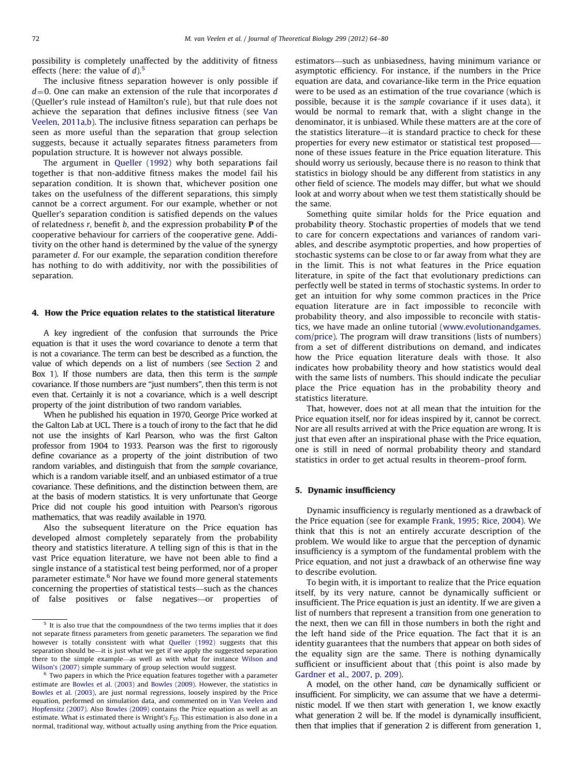<span id="page-8-0"></span>possibility is completely unaffected by the additivity of fitness effects (here: the value of  $d$ ).<sup>5</sup>

The inclusive fitness separation however is only possible if  $d=0$ . One can make an extension of the rule that incorporates d (Queller's rule instead of Hamilton's rule), but that rule does not achieve the separation that defines inclusive fitness (see [Van](#page-16-0) [Veelen, 2011a,b\)](#page-16-0). The inclusive fitness separation can perhaps be seen as more useful than the separation that group selection suggests, because it actually separates fitness parameters from population structure. It is however not always possible.

The argument in [Queller \(1992\)](#page-16-0) why both separations fail together is that non-additive fitness makes the model fail his separation condition. It is shown that, whichever position one takes on the usefulness of the different separations, this simply cannot be a correct argument. For our example, whether or not Queller's separation condition is satisfied depends on the values of relatedness  $r$ , benefit  $b$ , and the expression probability **P** of the cooperative behaviour for carriers of the cooperative gene. Additivity on the other hand is determined by the value of the synergy parameter d. For our example, the separation condition therefore has nothing to do with additivity, nor with the possibilities of separation.

#### 4. How the Price equation relates to the statistical literature

A key ingredient of the confusion that surrounds the Price equation is that it uses the word covariance to denote a term that is not a covariance. The term can best be described as a function, the value of which depends on a list of numbers (see [Section 2](#page-1-0) and Box 1). If those numbers are data, then this term is the sample covariance. If those numbers are ''just numbers'', then this term is not even that. Certainly it is not a covariance, which is a well descript property of the joint distribution of two random variables.

When he published his equation in 1970, George Price worked at the Galton Lab at UCL. There is a touch of irony to the fact that he did not use the insights of Karl Pearson, who was the first Galton professor from 1904 to 1933. Pearson was the first to rigorously define covariance as a property of the joint distribution of two random variables, and distinguish that from the sample covariance, which is a random variable itself, and an unbiased estimator of a true covariance. These definitions, and the distinction between them, are at the basis of modern statistics. It is very unfortunate that George Price did not couple his good intuition with Pearson's rigorous mathematics, that was readily available in 1970.

Also the subsequent literature on the Price equation has developed almost completely separately from the probability theory and statistics literature. A telling sign of this is that in the vast Price equation literature, we have not been able to find a single instance of a statistical test being performed, nor of a proper parameter estimate.<sup>6</sup> Nor have we found more general statements concerning the properties of statistical tests—such as the chances of false positives or false negatives—or properties of estimators—such as unbiasedness, having minimum variance or asymptotic efficiency. For instance, if the numbers in the Price equation are data, and covariance-like term in the Price equation were to be used as an estimation of the true covariance (which is possible, because it is the sample covariance if it uses data), it would be normal to remark that, with a slight change in the denominator, it is unbiased. While these matters are at the core of the statistics literature—it is standard practice to check for these properties for every new estimator or statistical test proposed— none of these issues feature in the Price equation literature. This should worry us seriously, because there is no reason to think that statistics in biology should be any different from statistics in any other field of science. The models may differ, but what we should look at and worry about when we test them statistically should be the same.

Something quite similar holds for the Price equation and probability theory. Stochastic properties of models that we tend to care for concern expectations and variances of random variables, and describe asymptotic properties, and how properties of stochastic systems can be close to or far away from what they are in the limit. This is not what features in the Price equation literature, in spite of the fact that evolutionary predictions can perfectly well be stated in terms of stochastic systems. In order to get an intuition for why some common practices in the Price equation literature are in fact impossible to reconcile with probability theory, and also impossible to reconcile with statistics, we have made an online tutorial ([www.evolutionandgames.](www.evolutionandgames.com/price) [com/price\)](www.evolutionandgames.com/price). The program will draw transitions (lists of numbers) from a set of different distributions on demand, and indicates how the Price equation literature deals with those. It also indicates how probability theory and how statistics would deal with the same lists of numbers. This should indicate the peculiar place the Price equation has in the probability theory and statistics literature.

That, however, does not at all mean that the intuition for the Price equation itself, nor for ideas inspired by it, cannot be correct. Nor are all results arrived at with the Price equation are wrong. It is just that even after an inspirational phase with the Price equation, one is still in need of normal probability theory and standard statistics in order to get actual results in theorem–proof form.

## 5. Dynamic insufficiency

Dynamic insufficiency is regularly mentioned as a drawback of the Price equation (see for example [Frank, 1995;](#page-16-0) [Rice, 2004](#page-16-0)). We think that this is not an entirely accurate description of the problem. We would like to argue that the perception of dynamic insufficiency is a symptom of the fundamental problem with the Price equation, and not just a drawback of an otherwise fine way to describe evolution.

To begin with, it is important to realize that the Price equation itself, by its very nature, cannot be dynamically sufficient or insufficient. The Price equation is just an identity. If we are given a list of numbers that represent a transition from one generation to the next, then we can fill in those numbers in both the right and the left hand side of the Price equation. The fact that it is an identity guarantees that the numbers that appear on both sides of the equality sign are the same. There is nothing dynamically sufficient or insufficient about that (this point is also made by [Gardner et al., 2007, p. 209](#page-16-0)).

A model, on the other hand, can be dynamically sufficient or insufficient. For simplicity, we can assume that we have a deterministic model. If we then start with generation 1, we know exactly what generation 2 will be. If the model is dynamically insufficient, then that implies that if generation 2 is different from generation 1,

<sup>&</sup>lt;sup>5</sup> It is also true that the compoundness of the two terms implies that it does not separate fitness parameters from genetic parameters. The separation we find however is totally consistent with what [Queller \(1992\)](#page-16-0) suggests that this separation should be—it is just what we get if we apply the suggested separation there to the simple example—as well as with what for instance [Wilson and](#page-16-0) [Wilson's \(2007\)](#page-16-0) simple summary of group selection would suggest.

 $6$  Two papers in which the Price equation features together with a parameter estimate are [Bowles et al. \(2003\)](#page-16-0) and [Bowles \(2009\)](#page-16-0). However, the statistics in [Bowles et al. \(2003\),](#page-16-0) are just normal regressions, loosely inspired by the Price equation, performed on simulation data, and commented on in [Van Veelen and](#page-16-0) [Hopfensitz \(2007\)](#page-16-0). Also [Bowles \(2009\)](#page-16-0) contains the Price equation as well as an estimate. What is estimated there is Wright's  $F_{ST}$ . This estimation is also done in a normal, traditional way, without actually using anything from the Price equation.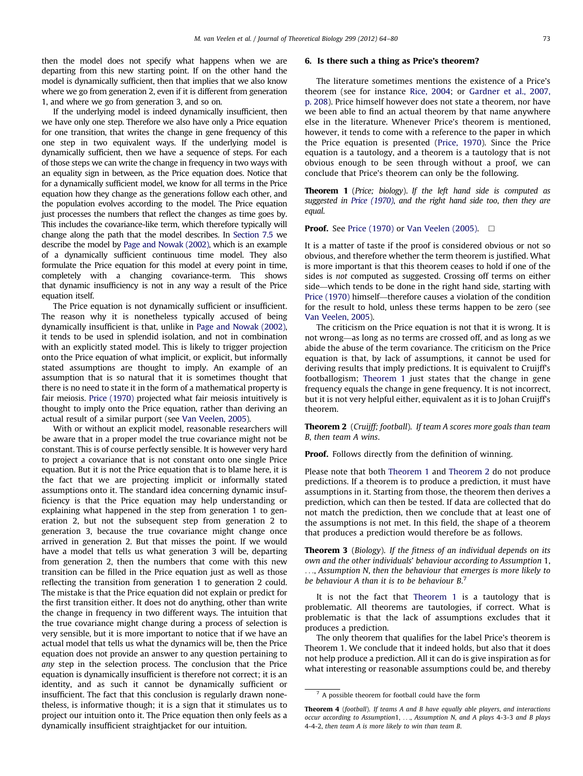<span id="page-9-0"></span>then the model does not specify what happens when we are departing from this new starting point. If on the other hand the model is dynamically sufficient, then that implies that we also know where we go from generation 2, even if it is different from generation 1, and where we go from generation 3, and so on.

If the underlying model is indeed dynamically insufficient, then we have only one step. Therefore we also have only a Price equation for one transition, that writes the change in gene frequency of this one step in two equivalent ways. If the underlying model is dynamically sufficient, then we have a sequence of steps. For each of those steps we can write the change in frequency in two ways with an equality sign in between, as the Price equation does. Notice that for a dynamically sufficient model, we know for all terms in the Price equation how they change as the generations follow each other, and the population evolves according to the model. The Price equation just processes the numbers that reflect the changes as time goes by. This includes the covariance-like term, which therefore typically will change along the path that the model describes. In [Section 7.5](#page-11-0) we describe the model by [Page and Nowak \(2002\),](#page-16-0) which is an example of a dynamically sufficient continuous time model. They also formulate the Price equation for this model at every point in time, completely with a changing covariance-term. This shows that dynamic insufficiency is not in any way a result of the Price equation itself.

The Price equation is not dynamically sufficient or insufficient. The reason why it is nonetheless typically accused of being dynamically insufficient is that, unlike in [Page and Nowak \(2002\),](#page-16-0) it tends to be used in splendid isolation, and not in combination with an explicitly stated model. This is likely to trigger projection onto the Price equation of what implicit, or explicit, but informally stated assumptions are thought to imply. An example of an assumption that is so natural that it is sometimes thought that there is no need to state it in the form of a mathematical property is fair meiosis. [Price \(1970\)](#page-16-0) projected what fair meiosis intuitively is thought to imply onto the Price equation, rather than deriving an actual result of a similar purport (see [Van Veelen, 2005\)](#page-16-0).

With or without an explicit model, reasonable researchers will be aware that in a proper model the true covariance might not be constant. This is of course perfectly sensible. It is however very hard to project a covariance that is not constant onto one single Price equation. But it is not the Price equation that is to blame here, it is the fact that we are projecting implicit or informally stated assumptions onto it. The standard idea concerning dynamic insufficiency is that the Price equation may help understanding or explaining what happened in the step from generation 1 to generation 2, but not the subsequent step from generation 2 to generation 3, because the true covariance might change once arrived in generation 2. But that misses the point. If we would have a model that tells us what generation 3 will be, departing from generation 2, then the numbers that come with this new transition can be filled in the Price equation just as well as those reflecting the transition from generation 1 to generation 2 could. The mistake is that the Price equation did not explain or predict for the first transition either. It does not do anything, other than write the change in frequency in two different ways. The intuition that the true covariance might change during a process of selection is very sensible, but it is more important to notice that if we have an actual model that tells us what the dynamics will be, then the Price equation does not provide an answer to any question pertaining to any step in the selection process. The conclusion that the Price equation is dynamically insufficient is therefore not correct; it is an identity, and as such it cannot be dynamically sufficient or insufficient. The fact that this conclusion is regularly drawn nonetheless, is informative though; it is a sign that it stimulates us to project our intuition onto it. The Price equation then only feels as a dynamically insufficient straightjacket for our intuition.

#### 6. Is there such a thing as Price's theorem?

The literature sometimes mentions the existence of a Price's theorem (see for instance [Rice, 2004](#page-16-0); or [Gardner et al., 2007,](#page-16-0) [p. 208](#page-16-0)). Price himself however does not state a theorem, nor have we been able to find an actual theorem by that name anywhere else in the literature. Whenever Price's theorem is mentioned, however, it tends to come with a reference to the paper in which the Price equation is presented [\(Price, 1970](#page-16-0)). Since the Price equation is a tautology, and a theorem is a tautology that is not obvious enough to be seen through without a proof, we can conclude that Price's theorem can only be the following.

Theorem 1 (Price; biology). If the left hand side is computed as suggested in [Price \(1970\)](#page-16-0), and the right hand side too, then they are equal.

#### **Proof.** See [Price \(1970\)](#page-16-0) or [Van Veelen \(2005\).](#page-16-0)  $\Box$

It is a matter of taste if the proof is considered obvious or not so obvious, and therefore whether the term theorem is justified. What is more important is that this theorem ceases to hold if one of the sides is not computed as suggested. Crossing off terms on either side—which tends to be done in the right hand side, starting with [Price \(1970\)](#page-16-0) himself—therefore causes a violation of the condition for the result to hold, unless these terms happen to be zero (see [Van Veelen, 2005\)](#page-16-0).

The criticism on the Price equation is not that it is wrong. It is not wrong—as long as no terms are crossed off, and as long as we abide the abuse of the term covariance. The criticism on the Price equation is that, by lack of assumptions, it cannot be used for deriving results that imply predictions. It is equivalent to Cruijff's footballogism; Theorem 1 just states that the change in gene frequency equals the change in gene frequency. It is not incorrect, but it is not very helpful either, equivalent as it is to Johan Cruijff's theorem.

Theorem 2 (Cruijff; football). If team A scores more goals than team B, then team A wins.

Proof. Follows directly from the definition of winning.

Please note that both Theorem 1 and Theorem 2 do not produce predictions. If a theorem is to produce a prediction, it must have assumptions in it. Starting from those, the theorem then derives a prediction, which can then be tested. If data are collected that do not match the prediction, then we conclude that at least one of the assumptions is not met. In this field, the shape of a theorem that produces a prediction would therefore be as follows.

Theorem 3 (Biology). If the fitness of an individual depends on its own and the other individuals' behaviour according to Assumption 1, ..., Assumption N, then the behaviour that emerges is more likely to be behaviour A than it is to be behaviour  $B$ .

It is not the fact that Theorem 1 is a tautology that is problematic. All theorems are tautologies, if correct. What is problematic is that the lack of assumptions excludes that it produces a prediction.

The only theorem that qualifies for the label Price's theorem is Theorem 1. We conclude that it indeed holds, but also that it does not help produce a prediction. All it can do is give inspiration as for what interesting or reasonable assumptions could be, and thereby

 $<sup>7</sup>$  A possible theorem for football could have the form</sup>

Theorem 4 (football). If teams A and B have equally able players, and interactions occur according to Assumption1, ..., Assumption N, and A plays 4-3-3 and B plays 4-4-2, then team A is more likely to win than team B.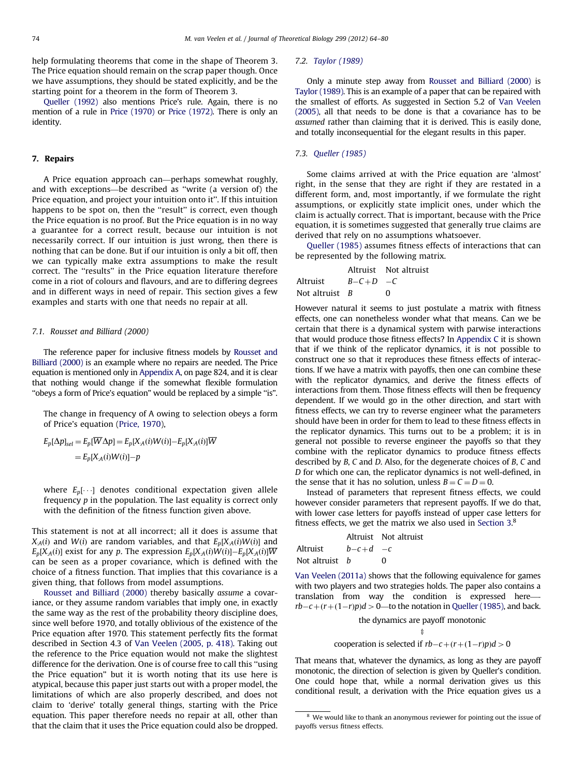<span id="page-10-0"></span>help formulating theorems that come in the shape of Theorem 3. The Price equation should remain on the scrap paper though. Once we have assumptions, they should be stated explicitly, and be the starting point for a theorem in the form of Theorem 3.

[Queller \(1992\)](#page-16-0) also mentions Price's rule. Again, there is no mention of a rule in [Price \(1970\)](#page-16-0) or [Price \(1972\)](#page-16-0). There is only an identity.

## 7. Repairs

A Price equation approach can—perhaps somewhat roughly, and with exceptions—be described as ''write (a version of) the Price equation, and project your intuition onto it''. If this intuition happens to be spot on, then the "result" is correct, even though the Price equation is no proof. But the Price equation is in no way a guarantee for a correct result, because our intuition is not necessarily correct. If our intuition is just wrong, then there is nothing that can be done. But if our intuition is only a bit off, then we can typically make extra assumptions to make the result correct. The ''results'' in the Price equation literature therefore come in a riot of colours and flavours, and are to differing degrees and in different ways in need of repair. This section gives a few examples and starts with one that needs no repair at all.

#### 7.1. Rousset and Billiard (2000)

The reference paper for inclusive fitness models by [Rousset and](#page-16-0) [Billiard \(2000\)](#page-16-0) is an example where no repairs are needed. The Price equation is mentioned only in [Appendix A](#page-12-0), on page 824, and it is clear that nothing would change if the somewhat flexible formulation ''obeys a form of Price's equation'' would be replaced by a simple ''is''.

The change in frequency of A owing to selection obeys a form of Price's equation ([Price, 1970](#page-16-0)),

$$
E_p[\Delta p]_{sel} = E_p[\overline{W}\Delta p] = E_p[X_A(i)W(i)] - E_p[X_A(i)]\overline{W}
$$
  
= 
$$
E_p[X_A(i)W(i)] - p
$$

where  $E_p[\cdots]$  denotes conditional expectation given allele frequency  $p$  in the population. The last equality is correct only with the definition of the fitness function given above.

This statement is not at all incorrect; all it does is assume that  $X_A(i)$  and  $W(i)$  are random variables, and that  $E_p[X_A(i)W(i)]$  and  $E_p[X_A(i)]$  exist for any p. The expression  $E_p[X_A(i)W(i)] - E_p[X_A(i)]\overline{W}$ can be seen as a proper covariance, which is defined with the choice of a fitness function. That implies that this covariance is a given thing, that follows from model assumptions.

[Rousset and Billiard \(2000\)](#page-16-0) thereby basically assume a covariance, or they assume random variables that imply one, in exactly the same way as the rest of the probability theory discipline does, since well before 1970, and totally oblivious of the existence of the Price equation after 1970. This statement perfectly fits the format described in Section 4.3 of [Van Veelen \(2005, p. 418\).](#page-16-0) Taking out the reference to the Price equation would not make the slightest difference for the derivation. One is of course free to call this ''using the Price equation'' but it is worth noting that its use here is atypical, because this paper just starts out with a proper model, the limitations of which are also properly described, and does not claim to 'derive' totally general things, starting with the Price equation. This paper therefore needs no repair at all, other than that the claim that it uses the Price equation could also be dropped.

#### 7.2. [Taylor \(1989\)](#page-16-0)

Only a minute step away from [Rousset and Billiard \(2000\)](#page-16-0) is [Taylor \(1989\).](#page-16-0) This is an example of a paper that can be repaired with the smallest of efforts. As suggested in Section 5.2 of [Van Veelen](#page-16-0) [\(2005\),](#page-16-0) all that needs to be done is that a covariance has to be assumed rather than claiming that it is derived. This is easily done, and totally inconsequential for the elegant results in this paper.

#### 7.3. [Queller \(1985\)](#page-16-0)

Some claims arrived at with the Price equation are 'almost' right, in the sense that they are right if they are restated in a different form, and, most importantly, if we formulate the right assumptions, or explicitly state implicit ones, under which the claim is actually correct. That is important, because with the Price equation, it is sometimes suggested that generally true claims are derived that rely on no assumptions whatsoever.

[Queller \(1985\)](#page-16-0) assumes fitness effects of interactions that can be represented by the following matrix.

|                |            | Altruist Not altruist |
|----------------|------------|-----------------------|
| Altruist       | $B-C+D$ -C |                       |
| Not altruist B |            | n                     |

However natural it seems to just postulate a matrix with fitness effects, one can nonetheless wonder what that means. Can we be certain that there is a dynamical system with parwise interactions that would produce those fitness effects? In [Appendix C](#page-15-0) it is shown that if we think of the replicator dynamics, it is not possible to construct one so that it reproduces these fitness effects of interactions. If we have a matrix with payoffs, then one can combine these with the replicator dynamics, and derive the fitness effects of interactions from them. Those fitness effects will then be frequency dependent. If we would go in the other direction, and start with fitness effects, we can try to reverse engineer what the parameters should have been in order for them to lead to these fitness effects in the replicator dynamics. This turns out to be a problem; it is in general not possible to reverse engineer the payoffs so that they combine with the replicator dynamics to produce fitness effects described by B, C and D. Also, for the degenerate choices of B, C and D for which one can, the replicator dynamics is not well-defined, in the sense that it has no solution, unless  $B = C = D = 0$ .

Instead of parameters that represent fitness effects, we could however consider parameters that represent payoffs. If we do that, with lower case letters for payoffs instead of upper case letters for fitness effects, we get the matrix we also used in [Section 3](#page-3-0).<sup>8</sup>

|                |            | Altruist Not altruist |
|----------------|------------|-----------------------|
| Altruist       | $b-c+d$ -c |                       |
| Not altruist b |            | n                     |

[Van Veelen \(2011a\)](#page-16-0) shows that the following equivalence for games with two players and two strategies holds. The paper also contains a translation from way the condition is expressed here—  $rb - c + (r + (1 - r)p)d > 0$ —to the notation in [Queller \(1985\),](#page-16-0) and back.

the dynamics are payoff monotonic  
\n
$$
\updownarrow
$$
\ncooperation is selected if  $rb-c+(r+(1-r)p)d > 0$ 

That means that, whatever the dynamics, as long as they are payoff monotonic, the direction of selection is given by Queller's condition. One could hope that, while a normal derivation gives us this conditional result, a derivation with the Price equation gives us a

 $^8\,$  We would like to thank an anonymous reviewer for pointing out the issue of payoffs versus fitness effects.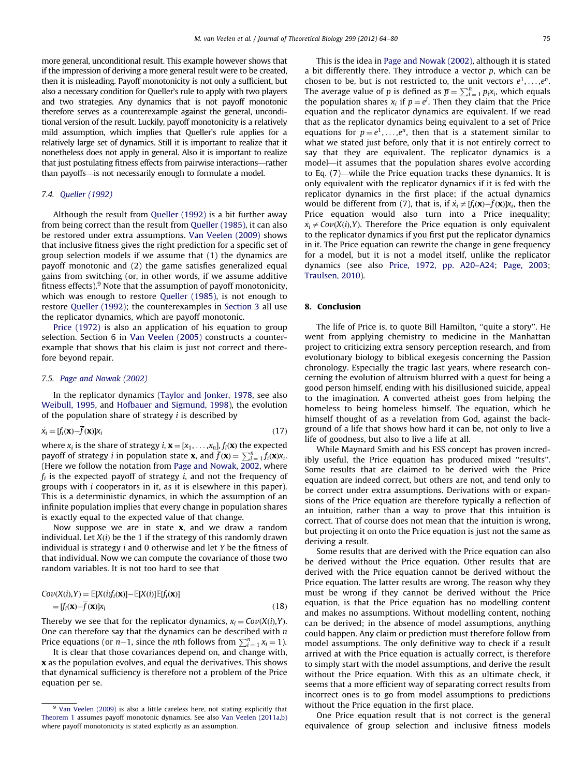<span id="page-11-0"></span>more general, unconditional result. This example however shows that if the impression of deriving a more general result were to be created, then it is misleading. Payoff monotonicity is not only a sufficient, but also a necessary condition for Queller's rule to apply with two players and two strategies. Any dynamics that is not payoff monotonic therefore serves as a counterexample against the general, unconditional version of the result. Luckily, payoff monotonicity is a relatively mild assumption, which implies that Queller's rule applies for a relatively large set of dynamics. Still it is important to realize that it nonetheless does not apply in general. Also it is important to realize that just postulating fitness effects from pairwise interactions—rather than payoffs—is not necessarily enough to formulate a model.

#### 7.4. [Queller \(1992\)](#page-16-0)

Although the result from [Queller \(1992\)](#page-16-0) is a bit further away from being correct than the result from [Queller \(1985\),](#page-16-0) it can also be restored under extra assumptions. [Van Veelen \(2009\)](#page-16-0) shows that inclusive fitness gives the right prediction for a specific set of group selection models if we assume that (1) the dynamics are payoff monotonic and (2) the game satisfies generalized equal gains from switching (or, in other words, if we assume additive fitness effects).<sup>9</sup> Note that the assumption of payoff monotonicity, which was enough to restore [Queller \(1985\),](#page-16-0) is not enough to restore [Queller \(1992\);](#page-16-0) the counterexamples in [Section 3](#page-3-0) all use the replicator dynamics, which are payoff monotonic.

[Price \(1972\)](#page-16-0) is also an application of his equation to group selection. Section 6 in [Van Veelen \(2005\)](#page-16-0) constructs a counterexample that shows that his claim is just not correct and therefore beyond repair.

#### 7.5. [Page and Nowak \(2002\)](#page-16-0)

In the replicator dynamics [\(Taylor and Jonker, 1978,](#page-16-0) see also [Weibull, 1995](#page-16-0), and [Hofbauer and Sigmund, 1998\)](#page-16-0), the evolution of the population share of strategy i is described by

$$
\dot{x}_i = [f_i(\mathbf{x}) - \overline{f}(\mathbf{x})]x_i
$$
\n(17)

where  $x_i$  is the share of strategy  $i, \mathbf{x} = [x_1, \ldots, x_n]$ ,  $f_i(\mathbf{x})$  the expected payoff of strategy *i* in population state **x**, and  $\overline{f}(\mathbf{x}) = \sum_{i=1}^{n} f_i(\mathbf{x})x_i$ . (Here we follow the notation from [Page and Nowak, 2002](#page-16-0), where  $f_i$  is the expected payoff of strategy *i*, and not the frequency of groups with i cooperators in it, as it is elsewhere in this paper). This is a deterministic dynamics, in which the assumption of an infinite population implies that every change in population shares is exactly equal to the expected value of that change.

Now suppose we are in state  $x$ , and we draw a random individual. Let  $X(i)$  be the 1 if the strategy of this randomly drawn individual is strategy i and 0 otherwise and let Y be the fitness of that individual. Now we can compute the covariance of those two random variables. It is not too hard to see that

$$
Cov(X(i), Y) = \mathbb{E}[X(i)f_i(\mathbf{x})] - \mathbb{E}[X(i)]\mathbb{E}[f_i(\mathbf{x})]
$$
  
=  $[f_i(\mathbf{x}) - \overline{f}(\mathbf{x})]x_i$  (18)

Thereby we see that for the replicator dynamics,  $x_i = Cov(X(i), Y)$ . One can therefore say that the dynamics can be described with  $n$ Price equations (or *n*-1, since the *n*th follows from  $\sum_{i=1}^{n} x_i = 1$ ).

It is clear that those covariances depend on, and change with, x as the population evolves, and equal the derivatives. This shows that dynamical sufficiency is therefore not a problem of the Price equation per se.

This is the idea in [Page and Nowak \(2002\),](#page-16-0) although it is stated a bit differently there. They introduce a vector  $p$ , which can be chosen to be, but is not restricted to, the unit vectors  $e^1, \ldots, e^n$ . The average value of p is defined as  $\overline{p} = \sum_{i=1}^{n} p_i x_i$ , which equals the population shares  $x_i$  if  $p = e^i$ . Then they claim that the Price equation and the replicator dynamics are equivalent. If we read that as the replicator dynamics being equivalent to a set of Price equations for  $p = e^1, \ldots, e^n$ , then that is a statement similar to what we stated just before, only that it is not entirely correct to say that they are equivalent. The replicator dynamics is a model—it assumes that the population shares evolve according to Eq. (7)—while the Price equation tracks these dynamics. It is only equivalent with the replicator dynamics if it is fed with the replicator dynamics in the first place; if the actual dynamics would be different from (7), that is, if  $x_i \neq [f_i(\mathbf{x}) - \overline{f}(\mathbf{x})]x_i$ , then the Price equation would also turn into a Price inequality;  $x_i \neq Cov(X(i), Y)$ . Therefore the Price equation is only equivalent to the replicator dynamics if you first put the replicator dynamics in it. The Price equation can rewrite the change in gene frequency for a model, but it is not a model itself, unlike the replicator dynamics (see also [Price, 1972, pp. A20–A24](#page-16-0); [Page, 2003;](#page-16-0) [Traulsen, 2010](#page-16-0)).

## 8. Conclusion

The life of Price is, to quote Bill Hamilton, ''quite a story''. He went from applying chemistry to medicine in the Manhattan project to criticizing extra sensory perception research, and from evolutionary biology to biblical exegesis concerning the Passion chronology. Especially the tragic last years, where research concerning the evolution of altruism blurred with a quest for being a good person himself, ending with his disillusioned suicide, appeal to the imagination. A converted atheist goes from helping the homeless to being homeless himself. The equation, which he himself thought of as a revelation from God, against the background of a life that shows how hard it can be, not only to live a life of goodness, but also to live a life at all.

While Maynard Smith and his ESS concept has proven incredibly useful, the Price equation has produced mixed ''results''. Some results that are claimed to be derived with the Price equation are indeed correct, but others are not, and tend only to be correct under extra assumptions. Derivations with or expansions of the Price equation are therefore typically a reflection of an intuition, rather than a way to prove that this intuition is correct. That of course does not mean that the intuition is wrong, but projecting it on onto the Price equation is just not the same as deriving a result.

Some results that are derived with the Price equation can also be derived without the Price equation. Other results that are derived with the Price equation cannot be derived without the Price equation. The latter results are wrong. The reason why they must be wrong if they cannot be derived without the Price equation, is that the Price equation has no modelling content and makes no assumptions. Without modelling content, nothing can be derived; in the absence of model assumptions, anything could happen. Any claim or prediction must therefore follow from model assumptions. The only definitive way to check if a result arrived at with the Price equation is actually correct, is therefore to simply start with the model assumptions, and derive the result without the Price equation. With this as an ultimate check, it seems that a more efficient way of separating correct results from incorrect ones is to go from model assumptions to predictions without the Price equation in the first place.

One Price equation result that is not correct is the general equivalence of group selection and inclusive fitness models

 $9$  [Van Veelen \(2009\)](#page-16-0) is also a little careless here, not stating explicitly that [Theorem 1](#page-9-0) assumes payoff monotonic dynamics. See also [Van Veelen \(2011a,b\)](#page-16-0) where payoff monotonicity is stated explicitly as an assumption.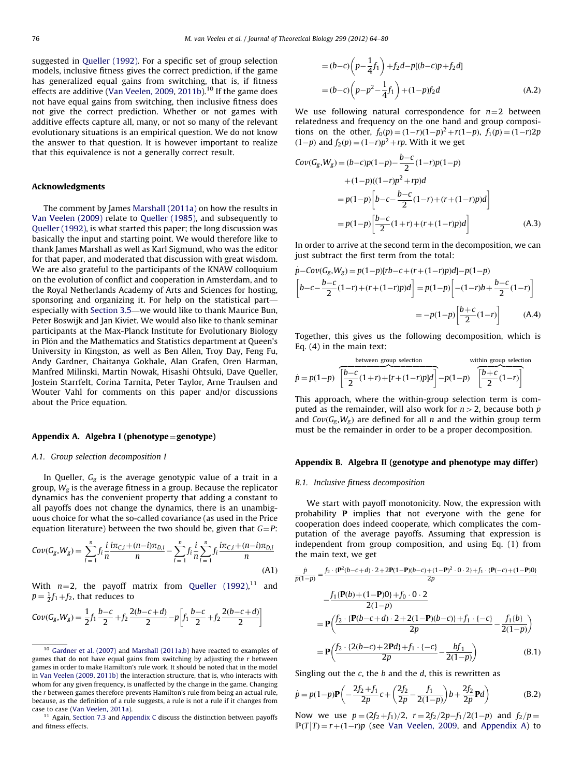<span id="page-12-0"></span>suggested in [Queller \(1992\).](#page-16-0) For a specific set of group selection models, inclusive fitness gives the correct prediction, if the game has generalized equal gains from switching, that is, if fitness effects are additive ([Van Veelen, 2009,](#page-16-0) [2011b\)](#page-16-0).<sup>10</sup> If the game does not have equal gains from switching, then inclusive fitness does not give the correct prediction. Whether or not games with additive effects capture all, many, or not so many of the relevant evolutionary situations is an empirical question. We do not know the answer to that question. It is however important to realize that this equivalence is not a generally correct result.

#### Acknowledgments

The comment by James [Marshall \(2011a\)](#page-16-0) on how the results in [Van Veelen \(2009\)](#page-16-0) relate to [Queller \(1985\),](#page-16-0) and subsequently to [Queller \(1992\)](#page-16-0), is what started this paper; the long discussion was basically the input and starting point. We would therefore like to thank James Marshall as well as Karl Sigmund, who was the editor for that paper, and moderated that discussion with great wisdom. We are also grateful to the participants of the KNAW colloquium on the evolution of conflict and cooperation in Amsterdam, and to the Royal Netherlands Academy of Arts and Sciences for hosting, sponsoring and organizing it. For help on the statistical part especially with [Section 3.5](#page-6-0)—we would like to thank Maurice Bun, Peter Boswijk and Jan Kiviet. We would also like to thank seminar participants at the Max-Planck Institute for Evolutionary Biology in Plön and the Mathematics and Statistics department at Queen's University in Kingston, as well as Ben Allen, Troy Day, Feng Fu, Andy Gardner, Chaitanya Gokhale, Alan Grafen, Oren Harman, Manfred Milinski, Martin Nowak, Hisashi Ohtsuki, Dave Queller, Jostein Starrfelt, Corina Tarnita, Peter Taylor, Arne Traulsen and Wouter Vahl for comments on this paper and/or discussions about the Price equation.

## Appendix A. Algebra I (phenotype = genotype)

#### A.1. Group selection decomposition I

In Queller,  $G_g$  is the average genotypic value of a trait in a group,  $W_g$  is the average fitness in a group. Because the replicator dynamics has the convenient property that adding a constant to all payoffs does not change the dynamics, there is an unambiguous choice for what the so-called covariance (as used in the Price equation literature) between the two should be, given that  $G = P$ :

$$
Cov(G_g, W_g) = \sum_{i=1}^n f_i \frac{i}{n} \frac{i\pi_{C,i} + (n-i)\pi_{D,i}}{n} - \sum_{i=1}^n f_i \frac{i}{n} \sum_{i=1}^n f_i \frac{i\pi_{C,i} + (n-i)\pi_{D,i}}{n}
$$
(A1)

With  $n=2$ , the payoff matrix from [Queller \(1992\)](#page-16-0),<sup>11</sup> and  $p = \frac{1}{2}f_1 + f_2$ , that reduces to

$$
Cov(G_g, W_g) = \frac{1}{2} f_1 \frac{b-c}{2} + f_2 \frac{2(b-c+d)}{2} - p \left[ f_1 \frac{b-c}{2} + f_2 \frac{2(b-c+d)}{2} \right]
$$

$$
= (b-c)\left(p - \frac{1}{4}f_1\right) + f_2d - p[(b-c)p + f_2d]
$$

$$
= (b-c)\left(p - p^2 - \frac{1}{4}f_1\right) + (1-p)f_2d \tag{A.2}
$$

We use following natural correspondence for  $n=2$  between relatedness and frequency on the one hand and group compositions on the other,  $f_0(p) = (1-r)(1-p)^2 + r(1-p)$ ,  $f_1(p) = (1-r)2p$  $(1-p)$  and  $f_2(p) = (1-r)p^2 + rp$ . With it we get

$$
Cov(G_g, W_g) = (b-c)p(1-p) - \frac{b-c}{2}(1-r)p(1-p)
$$
  
+ (1-p)((1-r)p<sup>2</sup> + rp)d  
=  $p(1-p)\left[b-c - \frac{b-c}{2}(1-r)+(r+(1-r)p)d\right]$   
=  $p(1-p)\left[\frac{b-c}{2}(1+r)+(r+(1-r)p)d\right]$  (A.3)

In order to arrive at the second term in the decomposition, we can just subtract the first term from the total:

$$
\begin{aligned} \dot{p} - \text{Cov}(G_g, W_g) &= p(1-p)[rb - c + (r + (1-r)p)d] - p(1-p) \\ \left[b - c - \frac{b - c}{2}(1-r) + (r + (1-r)p)d\right] &= p(1-p) \left[-(1-r)b + \frac{b - c}{2}(1-r)\right] \\ &= -p(1-p) \left[\frac{b + c}{2}(1-r)\right] \end{aligned} \tag{A.4}
$$

Together, this gives us the following decomposition, which is Eq. (4) in the main text:

between group selection  
\n
$$
p = p(1-p) \left[ \frac{b-c}{2} (1+r) + [r + (1-r)p]d \right] - p(1-p) \left[ \frac{b+c}{2} (1-r) \right]
$$

This approach, where the within-group selection term is computed as the remainder, will also work for  $n > 2$ , because both p and  $Cov(G_g, W_g)$  are defined for all n and the within group term must be the remainder in order to be a proper decomposition.

#### Appendix B. Algebra II (genotype and phenotype may differ)

#### B.1. Inclusive fitness decomposition

We start with payoff monotonicity. Now, the expression with probability P implies that not everyone with the gene for cooperation does indeed cooperate, which complicates the computation of the average payoffs. Assuming that expression is independent from group composition, and using Eq. (1) from the main text, we get

$$
\frac{p}{p(1-p)} = \frac{f_2 \cdot (\mathbf{P}^2(b-c+d) \cdot 2 + 2\mathbf{P}(1-\mathbf{P})(b-c) + (1-\mathbf{P})^2 \cdot 0 \cdot 2) + f_1 \cdot (\mathbf{P}(-c) + (1-\mathbf{P})0)}{2p}
$$

$$
- \frac{f_1 \{\mathbf{P}(b) + (1-\mathbf{P})0\} + f_0 \cdot 0 \cdot 2}{2(1-p)}
$$

$$
= \mathbf{P} \left( \frac{f_2 \cdot \{\mathbf{P}(b-c+d) \cdot 2 + 2(1-\mathbf{P})(b-c)\} + f_1 \cdot \{-c\}}{2p} - \frac{f_1 \{b\}}{2(1-p)} \right)
$$

$$
= \mathbf{P} \left( \frac{f_2 \cdot \{2(b-c) + 2\mathbf{P}d\} + f_1 \cdot \{-c\}}{2p} - \frac{bf}{2(1-p)} \right) \tag{B.1}
$$

Singling out the c, the b and the d, this is rewritten as

$$
\dot{p} = p(1-p)\mathbf{P}\left(-\frac{2f_2 + f_1}{2p}c + \left(\frac{2f_2}{2p} - \frac{f_1}{2(1-p)}\right)b + \frac{2f_2}{2p}\mathbf{P}d\right)
$$
(B.2)

Now we use  $p = (2f_2 + f_1)/2$ ,  $r = 2f_2/2p - f_1/2(1-p)$  and  $f_2/p =$  $P(T|T) = r + (1-r)p$  (see [Van Veelen, 2009](#page-16-0), and Appendix A) to

<sup>&</sup>lt;sup>10</sup> [Gardner et al. \(2007\)](#page-16-0) and [Marshall \(2011a,b\)](#page-16-0) have reacted to examples of games that do not have equal gains from switching by adjusting the  $r$  between games in order to make Hamilton's rule work. It should be noted that in the model in [Van Veelen \(2009,](#page-16-0) [2011b\)](#page-16-0) the interaction structure, that is, who interacts with whom for any given frequency, is unaffected by the change in the game. Changing the r between games therefore prevents Hamilton's rule from being an actual rule, because, as the definition of a rule suggests, a rule is not a rule if it changes from case to case [\(Van Veelen, 2011a\)](#page-16-0).

 $^{11}$  Again, [Section 7.3](#page-10-0) and [Appendix C](#page-15-0) discuss the distinction between payoffs and fitness effects.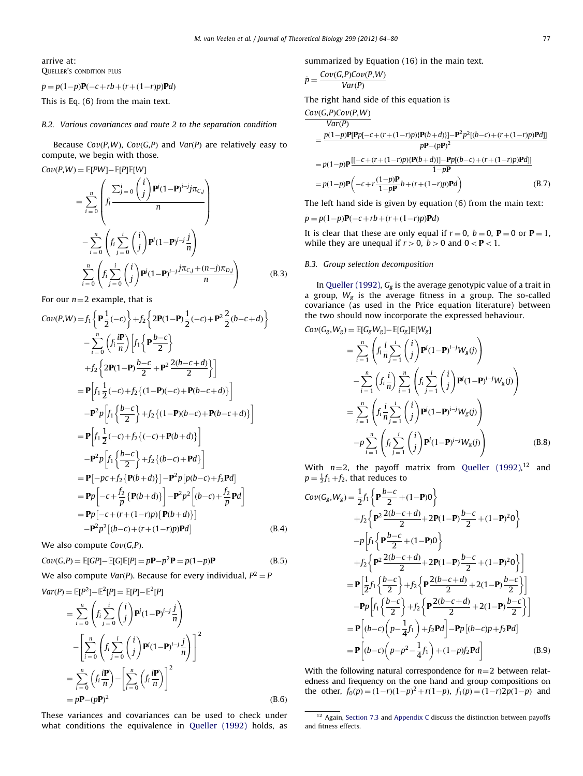<span id="page-13-0"></span>arrive at: QUELLER'S CONDITION PLUS

$$
\dot{p} = p(1-p)\mathbf{P}(-c+rb+(r+(1-r)p)\mathbf{P}d)
$$

This is Eq. (6) from the main text.

#### B.2. Various covariances and route 2 to the separation condition

Because Cov(P,W), Cov(G,P) and Var(P) are relatively easy to compute, we begin with those.

$$
Cov(P, W) = \mathbb{E}[PW] - \mathbb{E}[P]\mathbb{E}[W]
$$
  
\n
$$
= \sum_{i=0}^{n} \left( f_i \frac{\sum_{j=0}^{i} {i \choose j} P^j (1 - P)^{i-j} j \pi_{C,j}}{n} \right)
$$
  
\n
$$
- \sum_{i=0}^{n} \left( f_i \sum_{j=0}^{i} {i \choose j} P^j (1 - P)^{i-j} \frac{j}{n} \right)
$$
  
\n
$$
\sum_{i=0}^{n} \left( f_i \sum_{j=0}^{i} {i \choose j} P^j (1 - P)^{i-j} \frac{j \pi_{C,j} + (n-j) \pi_{D,j}}{n} \right)
$$
(B.3)

For our  $n=2$  example, that is

$$
Cov(P,W) = f_1 \left\{ \mathbf{P}_{\frac{1}{2}}^{1}(-c) \right\} + f_2 \left\{ 2\mathbf{P}(1-\mathbf{P})\frac{1}{2}(-c) + \mathbf{P}^2 \frac{2}{2}(b-c+d) \right\}
$$
  
\n
$$
- \sum_{i=0}^{n} \left( f_i \frac{i\mathbf{P}}{n} \right) \left[ f_1 \left\{ \mathbf{P} \frac{b-c}{2} \right\}
$$
  
\n
$$
+ f_2 \left\{ 2\mathbf{P}(1-\mathbf{P})\frac{b-c}{2} + \mathbf{P}^2 \frac{2(b-c+d)}{2} \right\} \right]
$$
  
\n
$$
= \mathbf{P} \left[ f_1 \frac{1}{2}(-c) + f_2 \left\{ (1-\mathbf{P})(-c) + \mathbf{P}(b-c+d) \right\} \right]
$$
  
\n
$$
- \mathbf{P}^2 p \left[ f_1 \left\{ \frac{b-c}{2} \right\} + f_2 \left\{ (1-\mathbf{P})(b-c) + \mathbf{P}(b-c+d) \right\} \right]
$$
  
\n
$$
= \mathbf{P} \left[ f_1 \frac{1}{2}(-c) + f_2 \left\{ (-c) + \mathbf{P}(b+d) \right\} \right]
$$
  
\n
$$
- \mathbf{P}^2 p \left[ f_1 \left\{ \frac{b-c}{2} \right\} + f_2 \left\{ (b-c) + \mathbf{P}d \right\} \right]
$$
  
\n
$$
= \mathbf{P} \left[ -pc + f_2 \left\{ \mathbf{P}(b+d) \right\} \right] - \mathbf{P}^2 p \left[ p(b-c) + f_2 \mathbf{P}d \right]
$$
  
\n
$$
= \mathbf{P} p \left[ -c + \frac{f_2}{p} \left\{ \mathbf{P}(b+d) \right\} \right] - \mathbf{P}^2 p^2 \left[ (b-c) + \frac{f_2}{p} \mathbf{P}d \right]
$$
  
\n
$$
= \mathbf{P} p \left[ -c + (r + (1-r)p) \left\{ \mathbf{P}(b+d) \right\} \right]
$$
  
\n
$$
= \mathbf{P}^2
$$

We also compute  $Cov(G, P)$ .

$$
Cov(G, P) = \mathbb{E}[GP] - \mathbb{E}[G]\mathbb{E}[P] = p\mathbf{P} - p^2\mathbf{P} = p(1-p)\mathbf{P}
$$
\n(B.5)

We also compute  $Var(P)$ . Because for every individual,  $P^2 = P$ 

$$
Var(P) = \mathbb{E}[P^2] - \mathbb{E}^2[P] = \mathbb{E}[P] - \mathbb{E}^2[P]
$$
  
\n
$$
= \sum_{i=0}^n \left( f_i \sum_{j=0}^i \binom{i}{j} \mathbf{P}^j (1-\mathbf{P})^{i-j} \frac{j}{n} \right)
$$
  
\n
$$
- \left[ \sum_{i=0}^n \left( f_i \sum_{j=0}^i \binom{i}{j} \mathbf{P}^j (1-\mathbf{P})^{i-j} \frac{j}{n} \right) \right]^2
$$
  
\n
$$
= \sum_{i=0}^n \left( f_i \frac{i\mathbf{P}}{n} \right) - \left[ \sum_{i=0}^n \left( f_i \frac{i\mathbf{P}}{n} \right) \right]^2
$$
  
\n
$$
= p\mathbf{P} - (p\mathbf{P})^2
$$
(B.6)

These variances and covariances can be used to check under what conditions the equivalence in [Queller \(1992\)](#page-16-0) holds, as summarized by Equation (16) in the main text.

$$
p = \frac{Cov(G, P)Cov(P, W)}{Var(P)}
$$

The right hand side of this equation is

$$
\frac{Cov(G, P)Cov(P, W)}{Var(P)} = \frac{p(1-p)P[Pp[-c + (r + (1-r)p)[P(b+d)]] - P^2p^2[(b-c) + (r + (1-r)p)Pd]]}{pP-(pP)^2}
$$
  
=  $p(1-p)P\frac{[[-c + (r + (1-r)p)[P(b+d)]] - Pp[(b-c) + (r + (1-r)p)Pd]]}{1-pP}$   
=  $p(1-p)P(-c+r\frac{(1-p)P}{1-pP}b + (r + (1-r)p)Pd)$  (B.7)

The left hand side is given by equation (6) from the main text:

 $\dot{p} = p(1-p)\mathbf{P}(-c+rb+(r+(1-r)p)\mathbf{P}d)$ 

It is clear that these are only equal if  $r = 0$ ,  $b = 0$ ,  $P = 0$  or  $P = 1$ , while they are unequal if  $r>0$ ,  $b>0$  and  $0<\mathbf{P}<1$ .

## B.3. Group selection decomposition

In [Queller \(1992\),](#page-16-0)  $G<sub>g</sub>$  is the average genotypic value of a trait in a group,  $W_g$  is the average fitness in a group. The so-called covariance (as used in the Price equation literature) between the two should now incorporate the expressed behaviour.

$$
Cov(G_g, W_g) = \mathbb{E}[G_g W_g] - \mathbb{E}[G_g] \mathbb{E}[W_g]
$$
  
\n
$$
= \sum_{i=1}^n \left( f_i \frac{i}{n} \sum_{j=1}^i \binom{i}{j} \mathbf{P}^j (1 - \mathbf{P})^{i-j} W_g(j) \right)
$$
  
\n
$$
- \sum_{i=1}^n \left( f_i \frac{i}{n} \right) \sum_{i=1}^n \left( f_i \sum_{j=1}^i \binom{i}{j} \mathbf{P}^j (1 - \mathbf{P})^{i-j} W_g(j) \right)
$$
  
\n
$$
= \sum_{i=1}^n \left( f_i \frac{i}{n} \sum_{j=1}^i \binom{i}{j} \mathbf{P}^j (1 - \mathbf{P})^{i-j} W_g(j) \right)
$$
  
\n
$$
-p \sum_{i=1}^n \left( f_i \sum_{j=1}^i \binom{i}{j} \mathbf{P}^j (1 - \mathbf{P})^{i-j} W_g(j) \right)
$$
(B.8)

With  $n=2$ , the payoff matrix from [Queller \(1992\)](#page-16-0),<sup>12</sup> and  $p = \frac{1}{2}f_1 + f_2$ , that reduces to

$$
Cov(G_g, W_g) = \frac{1}{2} f_1 \left\{ \mathbf{P} \frac{b-c}{2} + (1-\mathbf{P})0 \right\}
$$
  
+ $f_2 \left\{ \mathbf{P}^2 \frac{2(b-c+d)}{2} + 2\mathbf{P}(1-\mathbf{P}) \frac{b-c}{2} + (1-\mathbf{P})^2 0 \right\}$   
- $p \left[ f_1 \left\{ \mathbf{P} \frac{b-c}{2} + (1-\mathbf{P})0 \right\}$   
+ $f_2 \left\{ \mathbf{P}^2 \frac{2(b-c+d)}{2} + 2\mathbf{P}(1-\mathbf{P}) \frac{b-c}{2} + (1-\mathbf{P})^2 0 \right\} \right]$   
= $\mathbf{P} \left[ \frac{1}{2} f_1 \left\{ \frac{b-c}{2} \right\} + f_2 \left\{ \mathbf{P} \frac{2(b-c+d)}{2} + 2(1-\mathbf{P}) \frac{b-c}{2} \right\} \right]$   
- $\mathbf{P} p \left[ f_1 \left\{ \frac{b-c}{2} \right\} + f_2 \left\{ \mathbf{P} \frac{2(b-c+d)}{2} + 2(1-\mathbf{P}) \frac{b-c}{2} \right\} \right]$   
= $\mathbf{P} \left[ (b-c) \left( p - \frac{1}{4} f_1 \right) + f_2 \mathbf{P} d \right] - \mathbf{P} p \left[ (b-c) p + f_2 \mathbf{P} d \right]$   
= $\mathbf{P} \left[ (b-c) \left( p - p^2 - \frac{1}{4} f_1 \right) + (1-p) f_2 \mathbf{P} d \right]$  (B.9)

With the following natural correspondence for  $n=2$  between relatedness and frequency on the one hand and group compositions on the other,  $f_0(p) = (1-r)(1-p)^2 + r(1-p)$ ,  $f_1(p) = (1-r)2p(1-p)$  and

 $12$  Again, [Section 7.3](#page-10-0) and [Appendix C](#page-15-0) discuss the distinction between payoffs and fitness effects.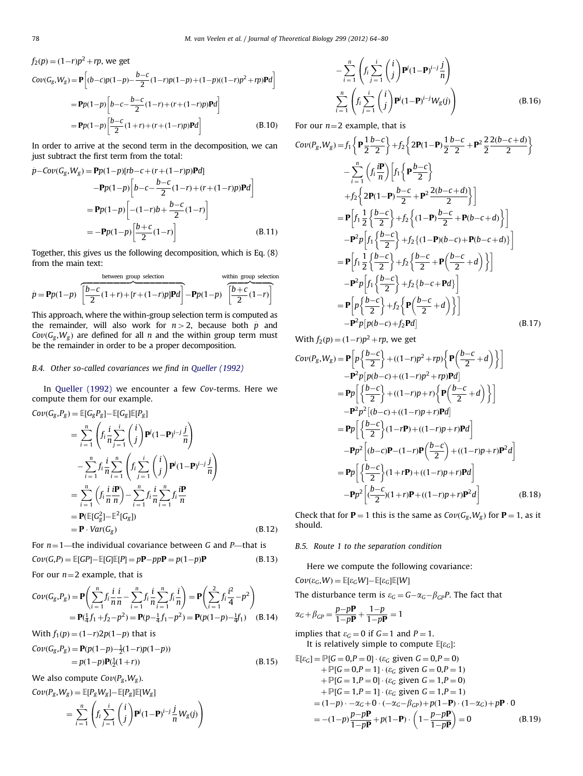<span id="page-14-0"></span>
$$
f_2(p) = (1-r)p^2 + rp
$$
, we get  
\n
$$
Cov(G_g, W_g) = \mathbf{P}\left[(b-c)p(1-p) - \frac{b-c}{2}(1-r)p(1-p) + (1-p)((1-r)p^2 + rp)\mathbf{P}d\right]
$$
\n
$$
= \mathbf{P}p(1-p)\left[b-c - \frac{b-c}{2}(1-r) + (r + (1-r)p)\mathbf{P}d\right]
$$
\n
$$
= \mathbf{P}p(1-p)\left[\frac{b-c}{2}(1+r) + (r + (1-r)p)\mathbf{P}d\right]
$$
\n(B.10)

In order to arrive at the second term in the decomposition, we can just subtract the first term from the total:

$$
\dot{p} - Cov(G_g, W_g) = \mathbf{P}p(1-p)[rb - c + (r + (1-r)p)\mathbf{P}d] \n- \mathbf{P}p(1-p) \left[ b - c - \frac{b - c}{2}(1-r) + (r + (1-r)p)\mathbf{P}d \right] \n= \mathbf{P}p(1-p) \left[ -(1-r)b + \frac{b - c}{2}(1-r) \right] \n= -\mathbf{P}p(1-p) \left[ \frac{b + c}{2}(1-r) \right]
$$
\n(B.11)

Together, this gives us the following decomposition, which is Eq. (8) from the main text:

between group selection  
\n
$$
p = \mathbf{P}p(1-p) \left[ \frac{b-c}{2} (1+r) + [r + (1-r)p] \mathbf{P}d \right] - \mathbf{P}p(1-p) \left[ \frac{b+c}{2} (1-r) \right]
$$

This approach, where the within-group selection term is computed as the remainder, will also work for  $n > 2$ , because both p and  $Cov(G_g, W_g)$  are defined for all n and the within group term must be the remainder in order to be a proper decomposition.

# B.4. Other so-called covariances we find in [Queller \(1992\)](#page-16-0)

In [Queller \(1992\)](#page-16-0) we encounter a few Cov-terms. Here we compute them for our example.

$$
Cov(G_g, P_g) = \mathbb{E}[G_g P_g] - \mathbb{E}[G_g]\mathbb{E}[P_g]
$$
  
\n
$$
= \sum_{i=1}^n \left( f_i \frac{i}{n} \sum_{j=1}^i {i \choose j} \mathbf{P}^j (1-\mathbf{P})^{i-j} \frac{j}{n} \right)
$$
  
\n
$$
- \sum_{i=1}^n f_i \frac{i}{n} \sum_{i=1}^n \left( f_i \sum_{j=1}^i {i \choose j} \mathbf{P}^j (1-\mathbf{P})^{i-j} \frac{j}{n} \right)
$$
  
\n
$$
= \sum_{i=1}^n \left( f_i \frac{i}{n} \frac{i\mathbf{P}}{n} \right) - \sum_{i=1}^n f_i \frac{i}{n} \sum_{i=1}^n f_i \frac{i\mathbf{P}}{n}
$$
  
\n
$$
= \mathbf{P}(\mathbb{E}[G_g^2] - \mathbb{E}^2[G_g])
$$
  
\n
$$
= \mathbf{P} \cdot Var(G_g)
$$
 (B.12)

For  $n=1$ —the individual covariance between G and P—that is

$$
Cov(G, P) = \mathbb{E}[GP] - \mathbb{E}[G]\mathbb{E}[P] = p\mathbf{P} - pp\mathbf{P} = p(1-p)\mathbf{P}
$$
\n(B.13)

For our  $n=2$  example, that is

$$
Cov(G_g, P_g) = \mathbf{P}\left(\sum_{i=1}^n f_i \frac{i}{n} \frac{i}{n} - \sum_{i=1}^n f_i \frac{i}{n} \sum_{i=1}^n f_i \frac{i}{n}\right) = \mathbf{P}\left(\sum_{i=1}^2 f_i \frac{i^2}{4} - p^2\right)
$$
  
=  $\mathbf{P}(\frac{1}{4}f_1 + f_2 - p^2) = \mathbf{P}(p - \frac{1}{4}f_1 - p^2) = \mathbf{P}(p(1-p) - \frac{1}{4}f_1)$  (B.14)

With  $f_1(p) = (1 - r)2p(1 - p)$  that is

$$
Cov(G_g, P_g) = \mathbf{P}(p(1-p) - \frac{1}{2}(1-r)p(1-p))
$$
  
=  $p(1-p)\mathbf{P}(\frac{1}{2}(1+r))$  (B.15)

We also compute  $Cov(P_g, W_g)$ .

$$
Cov(P_g, W_g) = \mathbb{E}[P_g W_g] - \mathbb{E}[P_g]\mathbb{E}[W_g]
$$

$$
= \sum_{i=1}^n \left(f_i \sum_{j=1}^i \binom{i}{j} \mathbf{P}^j (1-\mathbf{P})^{i-j} \frac{j}{n} W_g(j)\right)
$$

$$
-\sum_{i=1}^{n} \left( f_i \sum_{j=1}^{i} {i \choose j} \mathbf{P}^{j} (1-\mathbf{P})^{i-j} \frac{j}{n} \right)
$$
  

$$
\sum_{i=1}^{n} \left( f_i \sum_{j=1}^{i} {i \choose j} \mathbf{P}^{j} (1-\mathbf{P})^{i-j} W_g(j) \right)
$$
(B.16)

For our  $n=2$  example, that is

$$
Cov(P_g, W_g) = f_1 \left\{ \mathbf{P} \frac{1}{2} \frac{b-c}{2} \right\} + f_2 \left\{ 2\mathbf{P}(1-\mathbf{P}) \frac{1}{2} \frac{b-c}{2} + \mathbf{P}^2 \frac{2(2b-c+d)}{2} \right\}
$$
  
\n
$$
- \sum_{i=1}^n \left( f_i \frac{i\mathbf{P}}{n} \right) \left[ f_1 \left\{ \mathbf{P} \frac{b-c}{2} \right\}
$$
  
\n
$$
+ f_2 \left\{ 2\mathbf{P}(1-\mathbf{P}) \frac{b-c}{2} + \mathbf{P}^2 \frac{2(b-c+d)}{2} \right\} \right]
$$
  
\n
$$
= \mathbf{P} \left[ f_1 \frac{1}{2} \left\{ \frac{b-c}{2} \right\} + f_2 \left\{ (1-\mathbf{P}) \frac{b-c}{2} + \mathbf{P}(b-c+d) \right\} \right]
$$
  
\n
$$
- \mathbf{P}^2 p \left[ f_1 \left\{ \frac{b-c}{2} \right\} + f_2 \left\{ (1-\mathbf{P})(b-c) + \mathbf{P}(b-c+d) \right\} \right]
$$
  
\n
$$
= \mathbf{P} \left[ f_1 \frac{1}{2} \left\{ \frac{b-c}{2} \right\} + f_2 \left\{ \frac{b-c}{2} + \mathbf{P} \left( \frac{b-c}{2} + d \right) \right\} \right]
$$
  
\n
$$
- \mathbf{P}^2 p \left[ f_1 \left\{ \frac{b-c}{2} \right\} + f_2 \left\{ \mathbf{P} \left( \frac{b-c}{2} + d \right) \right\} \right]
$$
  
\n
$$
= \mathbf{P} \left[ p \left\{ \frac{b-c}{2} \right\} + f_2 \left\{ \mathbf{P} \left( \frac{b-c}{2} + d \right) \right\} \right]
$$
  
\n
$$
- \mathbf{P}^2 p \left[ p(b-c) + f_2 \mathbf{P} d \right]
$$
 (B.17)

With  $f_2(p) = (1 - r)p^2 + rp$ , we get

$$
Cov(P_g, W_g) = \mathbf{P} \left[ p \left\{ \frac{b-c}{2} \right\} + ((1-r)p^2 + rp) \left\{ \mathbf{P} \left( \frac{b-c}{2} + d \right) \right\} \right]
$$
  
\n
$$
- \mathbf{P}^2 p \left[ p(b-c) + ((1-r)p^2 + rp) \mathbf{P} d \right]
$$
  
\n
$$
= \mathbf{P} p \left[ \left\{ \frac{b-c}{2} \right\} + ((1-r)p + r) \left\{ \mathbf{P} \left( \frac{b-c}{2} + d \right) \right\} \right]
$$
  
\n
$$
- \mathbf{P}^2 p^2 \left[ (b-c) + ((1-r)p + r) \mathbf{P} d \right]
$$
  
\n
$$
= \mathbf{P} p \left[ \left\{ \frac{b-c}{2} \right\} (1-r\mathbf{P}) + ((1-r)p + r) \mathbf{P} d \right]
$$
  
\n
$$
- \mathbf{P} p^2 \left[ (b-c) \mathbf{P} - (1-r) \mathbf{P} \left( \frac{b-c}{2} \right) + ((1-r)p + r) \mathbf{P}^2 d \right]
$$
  
\n
$$
= \mathbf{P} p \left[ \left\{ \frac{b-c}{2} \right\} (1+r\mathbf{P}) + ((1-r)p + r) \mathbf{P} d \right]
$$
  
\n
$$
- \mathbf{P} p^2 \left[ \frac{b-c}{2} (1+r) \mathbf{P} + ((1-r)p + r) \mathbf{P}^2 d \right]
$$
(B.18)

Check that for **P** = 1 this is the same as  $Cov(G_g, W_g)$  for **P** = 1, as it should.

## B.5. Route 1 to the separation condition

Here we compute the following covariance:

 $Cov(\varepsilon_G, W) = \mathbb{E}[\varepsilon_G W] - \mathbb{E}[\varepsilon_G]\mathbb{E}[W]$ 

The disturbance term is  $\varepsilon_G = G - \alpha_G - \beta_{GP}P$ . The fact that

$$
\alpha_G + \beta_{GP} = \frac{p - p\mathbf{P}}{1 - p\mathbf{P}} + \frac{1 - p}{1 - p\mathbf{P}} = 1
$$

implies that  $\varepsilon_G = 0$  if  $G = 1$  and  $P = 1$ . It is relatively simple to compute  $\mathbb{E}[\varepsilon_G]$ :

$$
\mathbb{E}[\varepsilon_G] = \mathbb{P}[G = 0, P = 0] \cdot (\varepsilon_G \text{ given } G = 0, P = 0)
$$
  
+  $\mathbb{P}[G = 0, P = 1] \cdot (\varepsilon_G \text{ given } G = 0, P = 1)$   
+  $\mathbb{P}[G = 1, P = 0] \cdot (\varepsilon_G \text{ given } G = 1, P = 0)$   
+  $\mathbb{P}[G = 1, P = 1] \cdot (\varepsilon_G \text{ given } G = 1, P = 1)$   
=  $(1-p) \cdot -\alpha_G + 0 \cdot (-\alpha_G - \beta_{GP}) + p(1-\mathbf{P}) \cdot (1-\alpha_G) + p\mathbf{P} \cdot 0$   
=  $-(1-p)\frac{p-p\mathbf{P}}{1-p\mathbf{P}} + p(1-\mathbf{P}) \cdot \left(1 - \frac{p-p\mathbf{P}}{1-p\mathbf{P}}\right) = 0$  (B.19)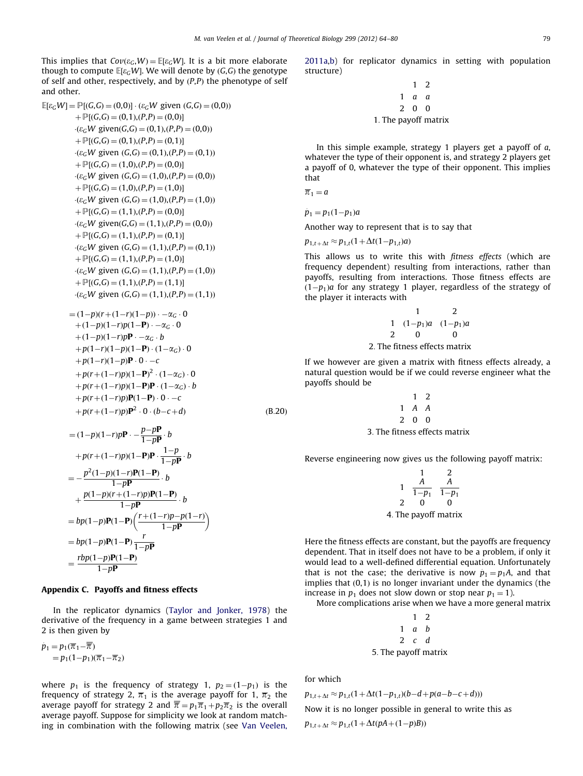<span id="page-15-0"></span>This implies that  $Cov(\varepsilon_G, W) = \mathbb{E}[\varepsilon_G W]$ . It is a bit more elaborate though to compute  $\mathbb{E}[\varepsilon_G W]$ . We will denote by  $(G, G)$  the genotype of self and other, respectively, and by  $(P, P)$  the phenotype of self and other.

$$
\mathbb{E}[\varepsilon_G W] = \mathbb{P}[(G,G) = (0,0)] \cdot (\varepsilon_G W \text{ given } (G,G) = (0,0))
$$
  
+  $\mathbb{P}[(G,G) = (0,1),(P,P) = (0,0)]$   
.  $(\varepsilon_G W \text{ given } (G,G) = (0,1),(P,P) = (0,0))$   
+  $\mathbb{P}[(G,G) = (0,1),(P,P) = (0,1)]$   
.  $(\varepsilon_G W \text{ given } (G,G) = (0,1),(P,P) = (0,1))$   
+  $\mathbb{P}[(G,G) = (1,0),(P,P) = (0,0)]$   
.  $(\varepsilon_G W \text{ given } (G,G) = (1,0),(P,P) = (0,0))$   
+  $\mathbb{P}[(G,G) = (1,0),(P,P) = (1,0)]$   
.  $(\varepsilon_G W \text{ given } (G,G) = (1,0),(P,P) = (1,0))$   
+  $\mathbb{P}[(G,G) = (1,1),(P,P) = (0,0)]$ 

 $(E_G W$  given $(G,G) = (1,1),(P,P) = (0,0)$  $\mathbb{P}[(G,G)=(1,1),(P,P)=(0,1)]$  $(g_{\mathcal{G}}W$  given  $(G,G) = (1,1),(P,P) = (0,1)$  $\mathbb{P}[(G,G)=(1,1),(P,P)=(1,0)]$  $(g_{\mathcal{G}}W$  given  $(G,G) = (1,1),(P,P) = (1,0)$  $\mathbb{P}[(G,G)=(1,1),(P,P)=(1,1)]$ 

 $(g_{\mathcal{G}}(W \text{ given } (G,G) = (1,1),(P,P) = (1,1))$ 

$$
= (1-p)(r+(1-r)(1-p)) \cdot -\alpha_G \cdot 0
$$
  
+ (1-p)(1-r)p(1-P) \cdot -\alpha\_G \cdot 0  
+ (1-p)(1-r)p**P** \cdot -\alpha\_G \cdot b  
+ p(1-r)(1-p)(1-P) \cdot (1-\alpha\_G) \cdot 0  
+ p(1-r)(1-p)**P** \cdot 0 \cdot -c  
+ p(r+(1-r)p)(1-P)<sup>2</sup> \cdot (1-\alpha\_G) \cdot 0  
+ p(r+(1-r)p)(1-P)**P** \cdot (1-\alpha\_G) \cdot b  
+ p(r+(1-r)p)**P** \cdot 0 \cdot -c  
+ p(r+(1-r)p)**P** \cdot 0 \cdot (b-c+d) \qquad (B.20)

$$
= (1-p)(1-r)p\mathbf{P} \cdot -\frac{p-p\mathbf{P}}{1-p\mathbf{P}} \cdot b
$$
  
+p(r+(1-r)p)(1-\mathbf{P})\mathbf{P} \cdot \frac{1-p}{1-p\mathbf{P}} \cdot b  
= -\frac{p^2(1-p)(1-r)\mathbf{P}(1-\mathbf{P})}{1-p\mathbf{P}} \cdot b  
+ \frac{p(1-p)(r+(1-r)p)\mathbf{P}(1-\mathbf{P})}{1-p\mathbf{P}} \cdot b  
= bp(1-p)\mathbf{P}(1-\mathbf{P})\left(\frac{r+(1-r)p-p(1-r)}{1-p\mathbf{P}}\right)  
= bp(1-p)\mathbf{P}(1-\mathbf{P})\frac{r}{1-p\mathbf{P}}  
= \frac{rbp(1-p)\mathbf{P}(1-\mathbf{P})}{1-p\mathbf{P}}

## Appendix C. Payoffs and fitness effects

In the replicator dynamics ([Taylor and Jonker, 1978\)](#page-16-0) the derivative of the frequency in a game between strategies 1 and 2 is then given by

$$
\begin{aligned} \dot{p}_1 &= p_1(\overline{\pi}_1 - \overline{\overline{\pi}}) \\ &= p_1(1 - p_1)(\overline{\pi}_1 - \overline{\pi}_2) \end{aligned}
$$

where  $p_1$  is the frequency of strategy 1,  $p_2 = (1-p_1)$  is the frequency of strategy 2,  $\overline{\pi}_1$  is the average payoff for 1,  $\overline{\pi}_2$  the average payoff for strategy 2 and  $\overline{\overline{n}} = p_1\overline{n}_1 + p_2\overline{n}_2$  is the overall average payoff. Suppose for simplicity we look at random matching in combination with the following matrix (see [Van Veelen,](#page-16-0) [2011a](#page-16-0),[b\)](#page-16-0) for replicator dynamics in setting with population structure)

$$
\begin{array}{c}\n 1 \ 2 \\
 1 \ a \ a \\
 2 \ 0 \ 0\n\end{array}
$$
\n1. The payoff matrix

In this simple example, strategy 1 players get a payoff of  $a$ , whatever the type of their opponent is, and strategy 2 players get a payoff of 0, whatever the type of their opponent. This implies that

$$
\overline{\pi}_1=a
$$

 $p_1 = p_1(1-p_1)a$ 

Another way to represent that is to say that

$$
p_{1,t+\Delta t} \approx p_{1,t}(1 + \Delta t (1 - p_{1,t})a)
$$

This allows us to write this with *fitness effects* (which are frequency dependent) resulting from interactions, rather than payoffs, resulting from interactions. Those fitness effects are  $(1-p_1)a$  for any strategy 1 player, regardless of the strategy of the player it interacts with

1 2  
\n1 
$$
(1-p_1)a
$$
  $(1-p_1)a$   
\n2 0 0  
\n2. The fitness effects matrix

If we however are given a matrix with fitness effects already, a natural question would be if we could reverse engineer what the payoffs should be

1 2 1 A A 200

3: The fitness effects matrix

Reverse engineering now gives us the following payoff matrix:

$$
\begin{array}{ccc}\n & 1 & 2 \\
1 & \frac{A}{1-p_1} & \frac{A}{1-p_1} \\
2 & 0 & 0 \\
4. \text{ The payoff matrix}\n\end{array}
$$

Here the fitness effects are constant, but the payoffs are frequency dependent. That in itself does not have to be a problem, if only it would lead to a well-defined differential equation. Unfortunately that is not the case; the derivative is now  $p_1 = p_1 A$ , and that implies that  $(0,1)$  is no longer invariant under the dynamics (the increase in  $p_1$  does not slow down or stop near  $p_1 = 1$ ).

More complications arise when we have a more general matrix

$$
\begin{array}{c}\n1 & 2 \\
1 & a & b \\
2 & c & d \\
5. \text{ The payoff matrix}\n\end{array}
$$

for which

$$
p_{1,t+\Delta t} \approx p_{1,t}(1 + \Delta t(1 - p_{1,t})(b - d + p(a - b - c + d)))
$$
  
Now it is no longer possible in general to write this as  

$$
p_{1,t+\Delta t} \approx p_{1,t}(1 + \Delta t(pA + (1 - p)B))
$$